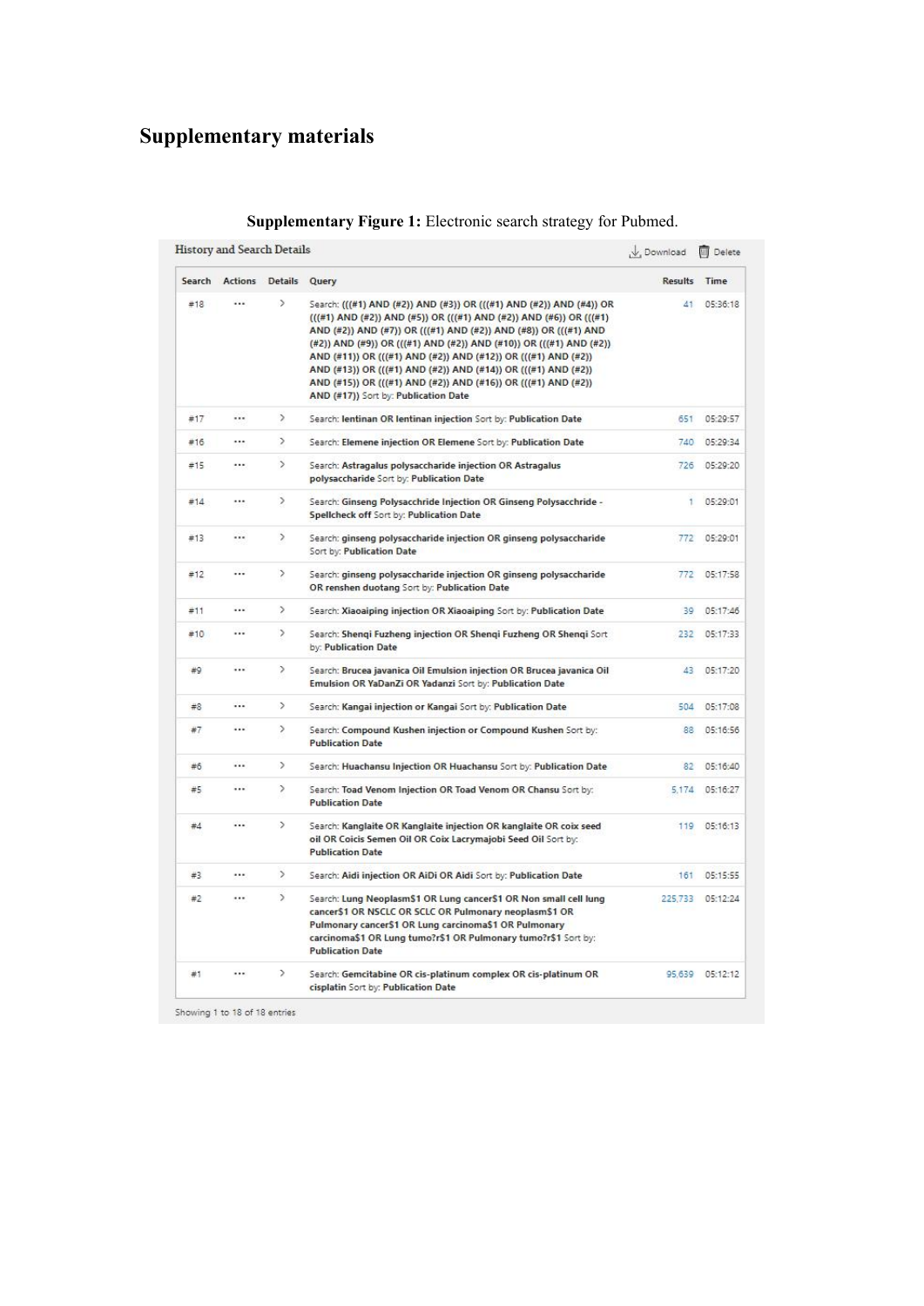## **Supplementary materials**

|        | History and Search Details |               |                                                                                                                                                                                                                                                                                                                                                                                                                                                                                                                               | V. Download  | <b>III</b> Delete |
|--------|----------------------------|---------------|-------------------------------------------------------------------------------------------------------------------------------------------------------------------------------------------------------------------------------------------------------------------------------------------------------------------------------------------------------------------------------------------------------------------------------------------------------------------------------------------------------------------------------|--------------|-------------------|
| Search | Actions                    | Details Query |                                                                                                                                                                                                                                                                                                                                                                                                                                                                                                                               | Results Time |                   |
| #18    | $\cdots$                   | $\rightarrow$ | Search: (((#1) AND (#2)) AND (#3)) OR (((#1) AND (#2)) AND (#4)) OR<br>(((#1) AND (#2)) AND (#5)) OR (((#1) AND (#2)) AND (#6)) OR (((#1)<br>AND (#2)) AND (#7)) OR (((#1) AND (#2)) AND (#8)) OR (((#1) AND<br>(#2)) AND (#9)) OR (((#1) AND (#2)) AND (#10)) OR (((#1) AND (#2))<br>AND (#11)) OR (((#1) AND (#2)) AND (#12)) OR (((#1) AND (#2))<br>AND (#13)) OR (((#1) AND (#2)) AND (#14)) OR (((#1) AND (#2))<br>AND (#15)) OR (((#1) AND (#2)) AND (#16)) OR (((#1) AND (#2))<br>AND (#17)) Sort by: Publication Date | 41           | 05:36:18          |
| #17    | $\cdots$                   | $\rightarrow$ | Search: lentinan OR lentinan injection Sort by: Publication Date                                                                                                                                                                                                                                                                                                                                                                                                                                                              | 651          | 05:29:57          |
| #16    |                            | $\rightarrow$ | Search: Elemene injection OR Elemene Sort by: Publication Date                                                                                                                                                                                                                                                                                                                                                                                                                                                                | 740          | 05:29:34          |
| #15    |                            | $\rightarrow$ | Search: Astragalus polysaccharide injection OR Astragalus<br>polysaccharide Sort by: Publication Date                                                                                                                                                                                                                                                                                                                                                                                                                         | 726          | 05:29:20          |
| #14    |                            | $\rightarrow$ | Search: Ginseng Polysacchride Injection OR Ginseng Polysacchride -<br>Spellcheck off Sort by: Publication Date                                                                                                                                                                                                                                                                                                                                                                                                                | 1            | 05:29:01          |
| #13    |                            | $\rightarrow$ | Search: ginseng polysaccharide injection OR ginseng polysaccharide<br>Sort by: Publication Date                                                                                                                                                                                                                                                                                                                                                                                                                               | 772          | 05:29:01          |
| #12    |                            | $\geq$        | Search: ginseng polysaccharide injection OR ginseng polysaccharide<br>OR renshen duotang Sort by: Publication Date                                                                                                                                                                                                                                                                                                                                                                                                            | 772          | 05:17:58          |
| #11    |                            | $\rightarrow$ | Search: Xiaoaiping injection OR Xiaoaiping Sort by: Publication Date                                                                                                                                                                                                                                                                                                                                                                                                                                                          | 39           | 05:17:46          |
| #10    |                            | $\geq$        | Search: Shengi Fuzheng injection OR Shengi Fuzheng OR Shengi Sort<br>by: Publication Date                                                                                                                                                                                                                                                                                                                                                                                                                                     | 232          | 05:17:33          |
| #9     |                            | $\rightarrow$ | Search: Brucea javanica Oil Emulsion injection OR Brucea javanica Oil<br>Emulsion OR YaDanZi OR Yadanzi Sort by: Publication Date                                                                                                                                                                                                                                                                                                                                                                                             | 43           | 05:17:20          |
| #8     | $\cdots$                   | $\rightarrow$ | Search: Kangai injection or Kangai Sort by: Publication Date                                                                                                                                                                                                                                                                                                                                                                                                                                                                  | 504          | 05:17:08          |
| #7     |                            | $\rightarrow$ | Search: Compound Kushen injection or Compound Kushen Sort by:<br><b>Publication Date</b>                                                                                                                                                                                                                                                                                                                                                                                                                                      | 88           | 05:16:56          |
| #6     |                            | $\,$          | Search: Huachansu Injection OR Huachansu Sort by: Publication Date                                                                                                                                                                                                                                                                                                                                                                                                                                                            | 82           | 05:16:40          |
| #5     |                            | $\rightarrow$ | Search: Toad Venom Injection OR Toad Venom OR Chansu Sort by:<br><b>Publication Date</b>                                                                                                                                                                                                                                                                                                                                                                                                                                      | 5,174        | 05:16:27          |
| #4     |                            | $\rightarrow$ | Search: Kanglaite OR Kanglaite injection OR kanglaite OR coix seed<br>oil OR Coicis Semen Oil OR Coix Lacrymajobi Seed Oil Sort by:<br><b>Publication Date</b>                                                                                                                                                                                                                                                                                                                                                                | 119          | 05:16:13          |
| #3     |                            | $\rightarrow$ | Search: Aidi injection OR AiDi OR Aidi Sort by: Publication Date                                                                                                                                                                                                                                                                                                                                                                                                                                                              | 161          | 05:15:55          |
| #2     |                            | $\rightarrow$ | Search: Lung Neoplasm\$1 OR Lung cancer\$1 OR Non small cell lung<br>cancer\$1 OR NSCLC OR SCLC OR Pulmonary neoplasm\$1 OR<br>Pulmonary cancer\$1 OR Lung carcinoma\$1 OR Pulmonary<br>carcinoma\$1 OR Lung tumo?r\$1 OR Pulmonary tumo?r\$1 Sort by:<br><b>Publication Date</b>                                                                                                                                                                                                                                             |              | 225,733 05:12:24  |
| #1     |                            | $\,$          | Search: Gemcitabine OR cis-platinum complex OR cis-platinum OR<br>cisplatin Sort by: Publication Date                                                                                                                                                                                                                                                                                                                                                                                                                         |              | 95,639 05:12:12   |

## **Supplementary Figure 1:** Electronic search strategy for Pubmed.

Showing 1 to 18 of 18 entries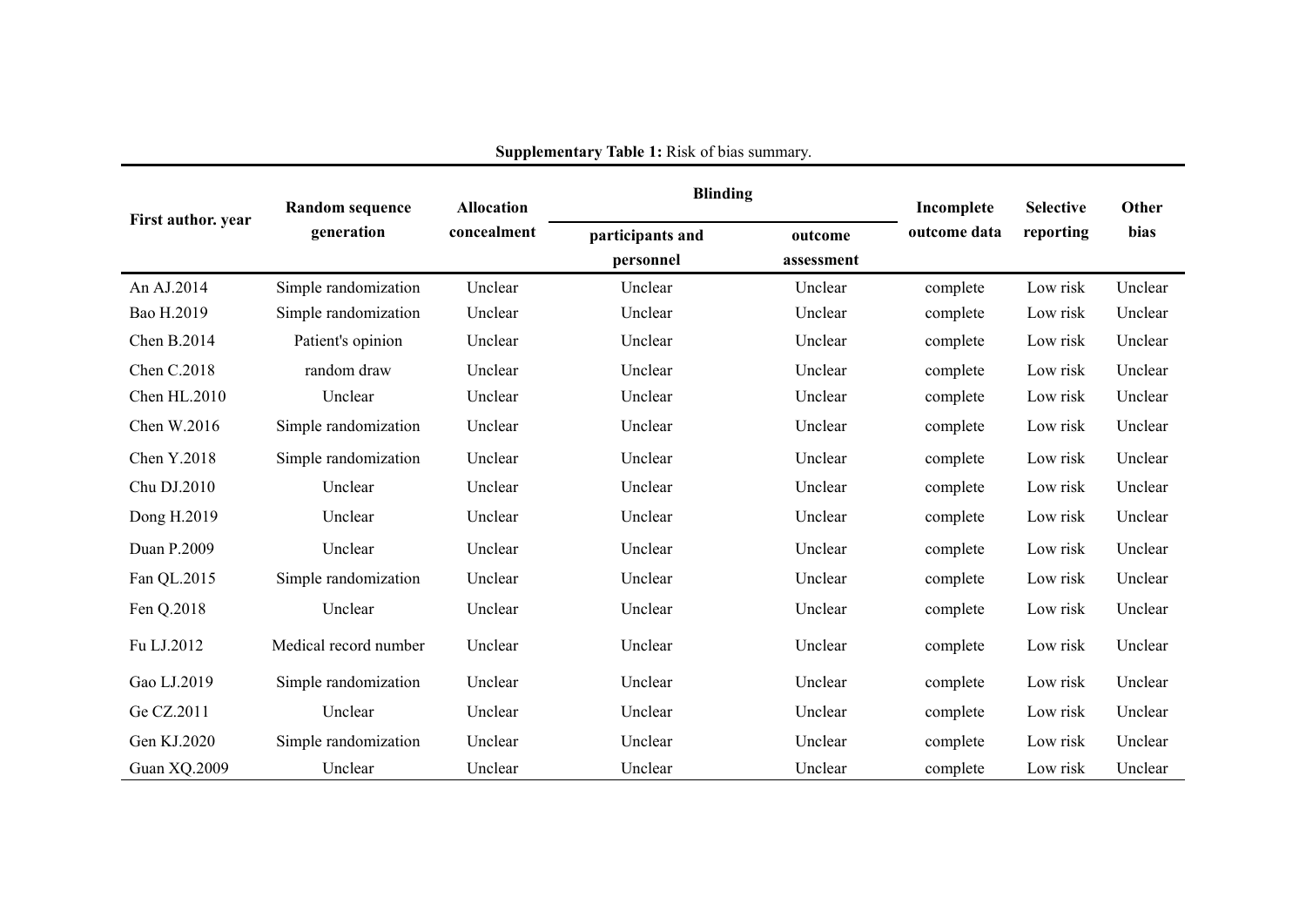| First author. year | <b>Random sequence</b> | <b>Allocation</b> | <b>Blinding</b>               |                       | Incomplete   | <b>Selective</b> | <b>Other</b> |
|--------------------|------------------------|-------------------|-------------------------------|-----------------------|--------------|------------------|--------------|
|                    | generation             | concealment       | participants and<br>personnel | outcome<br>assessment | outcome data | reporting        | bias         |
| An AJ.2014         | Simple randomization   | Unclear           | Unclear                       | Unclear               | complete     | Low risk         | Unclear      |
| Bao H.2019         | Simple randomization   | Unclear           | Unclear                       | Unclear               | complete     | Low risk         | Unclear      |
| Chen B.2014        | Patient's opinion      | Unclear           | Unclear                       | Unclear               | complete     | Low risk         | Unclear      |
| Chen C.2018        | random draw            | Unclear           | Unclear                       | Unclear               | complete     | Low risk         | Unclear      |
| Chen HL.2010       | Unclear                | Unclear           | Unclear                       | Unclear               | complete     | Low risk         | Unclear      |
| Chen W.2016        | Simple randomization   | Unclear           | Unclear                       | Unclear               | complete     | Low risk         | Unclear      |
| Chen Y.2018        | Simple randomization   | Unclear           | Unclear                       | Unclear               | complete     | Low risk         | Unclear      |
| Chu DJ.2010        | Unclear                | Unclear           | Unclear                       | Unclear               | complete     | Low risk         | Unclear      |
| Dong H.2019        | Unclear                | Unclear           | Unclear                       | Unclear               | complete     | Low risk         | Unclear      |
| Duan P.2009        | Unclear                | Unclear           | Unclear                       | Unclear               | complete     | Low risk         | Unclear      |
| Fan QL.2015        | Simple randomization   | Unclear           | Unclear                       | Unclear               | complete     | Low risk         | Unclear      |
| Fen Q.2018         | Unclear                | Unclear           | Unclear                       | Unclear               | complete     | Low risk         | Unclear      |
| Fu LJ.2012         | Medical record number  | Unclear           | Unclear                       | Unclear               | complete     | Low risk         | Unclear      |
| Gao LJ.2019        | Simple randomization   | Unclear           | Unclear                       | Unclear               | complete     | Low risk         | Unclear      |
| Ge CZ.2011         | Unclear                | Unclear           | Unclear                       | Unclear               | complete     | Low risk         | Unclear      |
| Gen KJ.2020        | Simple randomization   | Unclear           | Unclear                       | Unclear               | complete     | Low risk         | Unclear      |
| Guan XQ.2009       | Unclear                | Unclear           | Unclear                       | Unclear               | complete     | Low risk         | Unclear      |

**Supplementary Table 1:** Risk of bias summary.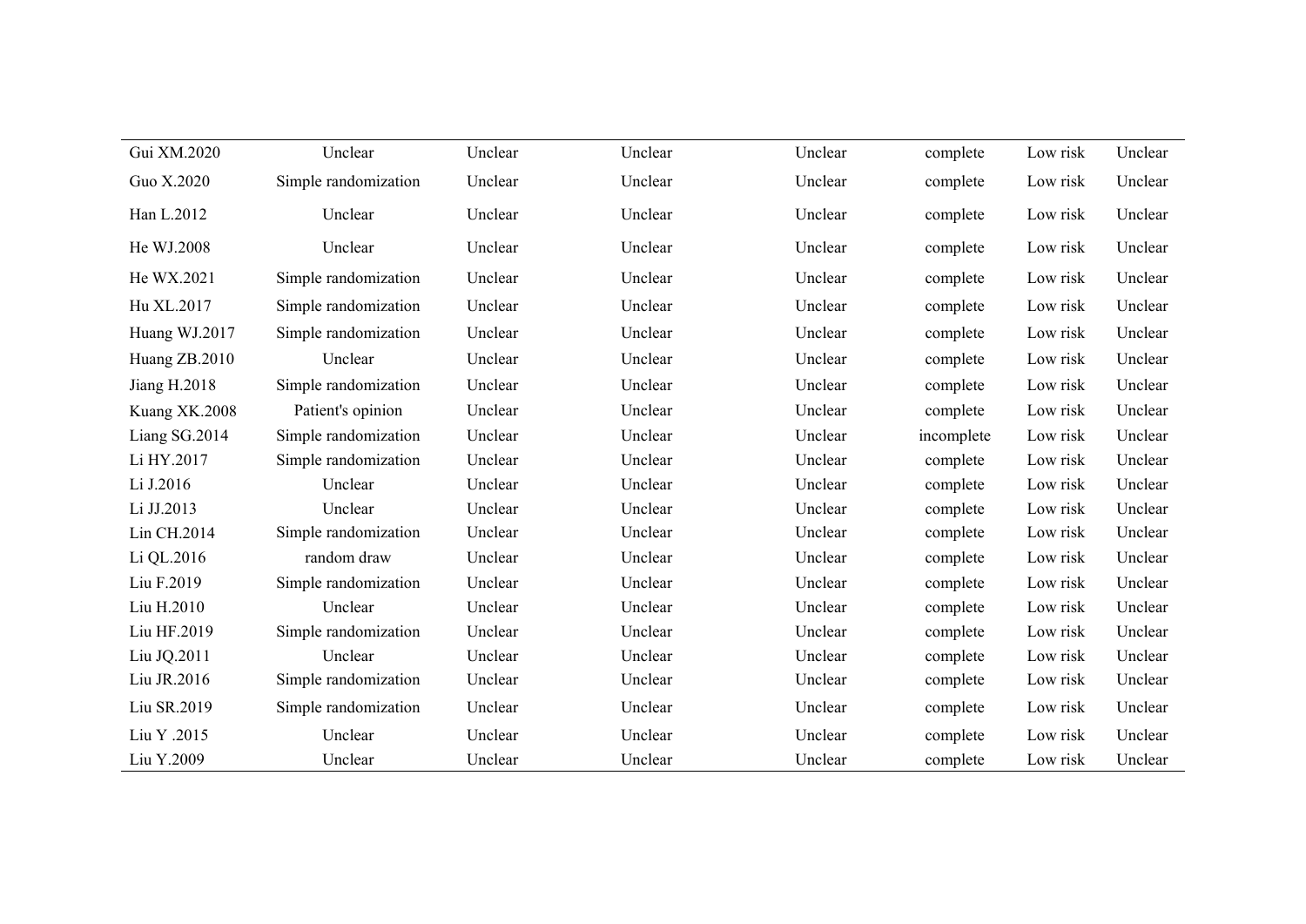| Gui XM.2020   | Unclear              | Unclear | Unclear | Unclear | complete   | Low risk | Unclear |
|---------------|----------------------|---------|---------|---------|------------|----------|---------|
| Guo X.2020    | Simple randomization | Unclear | Unclear | Unclear | complete   | Low risk | Unclear |
| Han L.2012    | Unclear              | Unclear | Unclear | Unclear | complete   | Low risk | Unclear |
| He WJ.2008    | Unclear              | Unclear | Unclear | Unclear | complete   | Low risk | Unclear |
| He WX.2021    | Simple randomization | Unclear | Unclear | Unclear | complete   | Low risk | Unclear |
| Hu XL.2017    | Simple randomization | Unclear | Unclear | Unclear | complete   | Low risk | Unclear |
| Huang WJ.2017 | Simple randomization | Unclear | Unclear | Unclear | complete   | Low risk | Unclear |
| Huang ZB.2010 | Unclear              | Unclear | Unclear | Unclear | complete   | Low risk | Unclear |
| Jiang H.2018  | Simple randomization | Unclear | Unclear | Unclear | complete   | Low risk | Unclear |
| Kuang XK.2008 | Patient's opinion    | Unclear | Unclear | Unclear | complete   | Low risk | Unclear |
| Liang SG.2014 | Simple randomization | Unclear | Unclear | Unclear | incomplete | Low risk | Unclear |
| Li HY.2017    | Simple randomization | Unclear | Unclear | Unclear | complete   | Low risk | Unclear |
| Li J.2016     | Unclear              | Unclear | Unclear | Unclear | complete   | Low risk | Unclear |
| Li JJ.2013    | Unclear              | Unclear | Unclear | Unclear | complete   | Low risk | Unclear |
| Lin CH.2014   | Simple randomization | Unclear | Unclear | Unclear | complete   | Low risk | Unclear |
| Li QL.2016    | random draw          | Unclear | Unclear | Unclear | complete   | Low risk | Unclear |
| Liu F.2019    | Simple randomization | Unclear | Unclear | Unclear | complete   | Low risk | Unclear |
| Liu H.2010    | Unclear              | Unclear | Unclear | Unclear | complete   | Low risk | Unclear |
| Liu HF.2019   | Simple randomization | Unclear | Unclear | Unclear | complete   | Low risk | Unclear |
| Liu JQ.2011   | Unclear              | Unclear | Unclear | Unclear | complete   | Low risk | Unclear |
| Liu JR.2016   | Simple randomization | Unclear | Unclear | Unclear | complete   | Low risk | Unclear |
| Liu SR.2019   | Simple randomization | Unclear | Unclear | Unclear | complete   | Low risk | Unclear |
| Liu Y .2015   | Unclear              | Unclear | Unclear | Unclear | complete   | Low risk | Unclear |
| Liu Y.2009    | Unclear              | Unclear | Unclear | Unclear | complete   | Low risk | Unclear |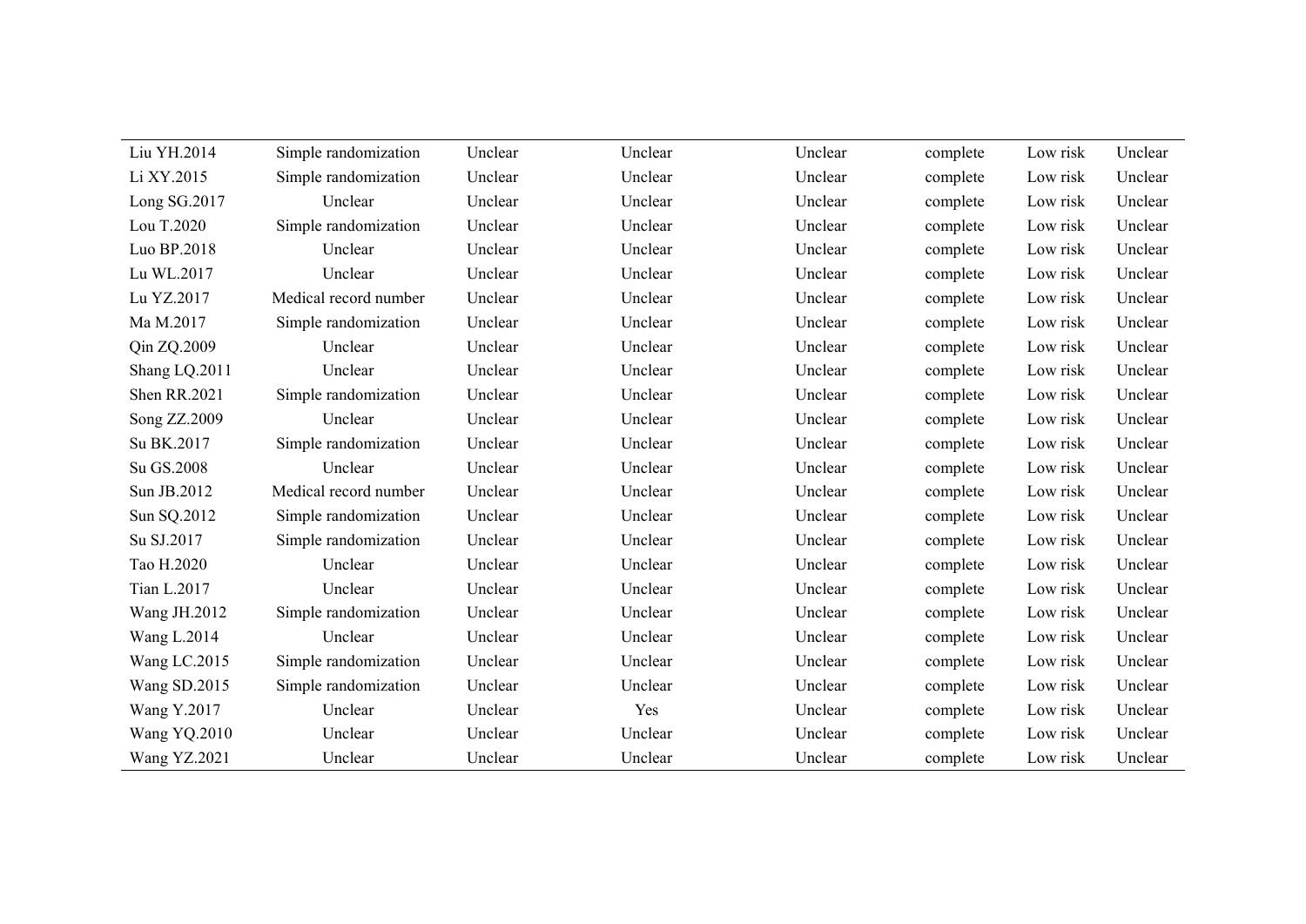| Liu YH.2014         | Simple randomization  | Unclear | Unclear | Unclear | complete | Low risk | Unclear |
|---------------------|-----------------------|---------|---------|---------|----------|----------|---------|
| Li XY.2015          | Simple randomization  | Unclear | Unclear | Unclear | complete | Low risk | Unclear |
| Long SG.2017        | Unclear               | Unclear | Unclear | Unclear | complete | Low risk | Unclear |
| Lou T.2020          | Simple randomization  | Unclear | Unclear | Unclear | complete | Low risk | Unclear |
| Luo BP.2018         | Unclear               | Unclear | Unclear | Unclear | complete | Low risk | Unclear |
| Lu WL.2017          | Unclear               | Unclear | Unclear | Unclear | complete | Low risk | Unclear |
| Lu YZ.2017          | Medical record number | Unclear | Unclear | Unclear | complete | Low risk | Unclear |
| Ma M.2017           | Simple randomization  | Unclear | Unclear | Unclear | complete | Low risk | Unclear |
| Qin ZQ.2009         | Unclear               | Unclear | Unclear | Unclear | complete | Low risk | Unclear |
| Shang LQ.2011       | Unclear               | Unclear | Unclear | Unclear | complete | Low risk | Unclear |
| Shen RR.2021        | Simple randomization  | Unclear | Unclear | Unclear | complete | Low risk | Unclear |
| Song ZZ.2009        | Unclear               | Unclear | Unclear | Unclear | complete | Low risk | Unclear |
| Su BK.2017          | Simple randomization  | Unclear | Unclear | Unclear | complete | Low risk | Unclear |
| Su GS.2008          | Unclear               | Unclear | Unclear | Unclear | complete | Low risk | Unclear |
| Sun JB.2012         | Medical record number | Unclear | Unclear | Unclear | complete | Low risk | Unclear |
| Sun SQ.2012         | Simple randomization  | Unclear | Unclear | Unclear | complete | Low risk | Unclear |
| Su SJ.2017          | Simple randomization  | Unclear | Unclear | Unclear | complete | Low risk | Unclear |
| Tao H.2020          | Unclear               | Unclear | Unclear | Unclear | complete | Low risk | Unclear |
| Tian L.2017         | Unclear               | Unclear | Unclear | Unclear | complete | Low risk | Unclear |
| Wang JH.2012        | Simple randomization  | Unclear | Unclear | Unclear | complete | Low risk | Unclear |
| Wang L.2014         | Unclear               | Unclear | Unclear | Unclear | complete | Low risk | Unclear |
| Wang LC.2015        | Simple randomization  | Unclear | Unclear | Unclear | complete | Low risk | Unclear |
| Wang SD.2015        | Simple randomization  | Unclear | Unclear | Unclear | complete | Low risk | Unclear |
| Wang Y.2017         | Unclear               | Unclear | Yes     | Unclear | complete | Low risk | Unclear |
| Wang YQ.2010        | Unclear               | Unclear | Unclear | Unclear | complete | Low risk | Unclear |
| <b>Wang YZ.2021</b> | Unclear               | Unclear | Unclear | Unclear | complete | Low risk | Unclear |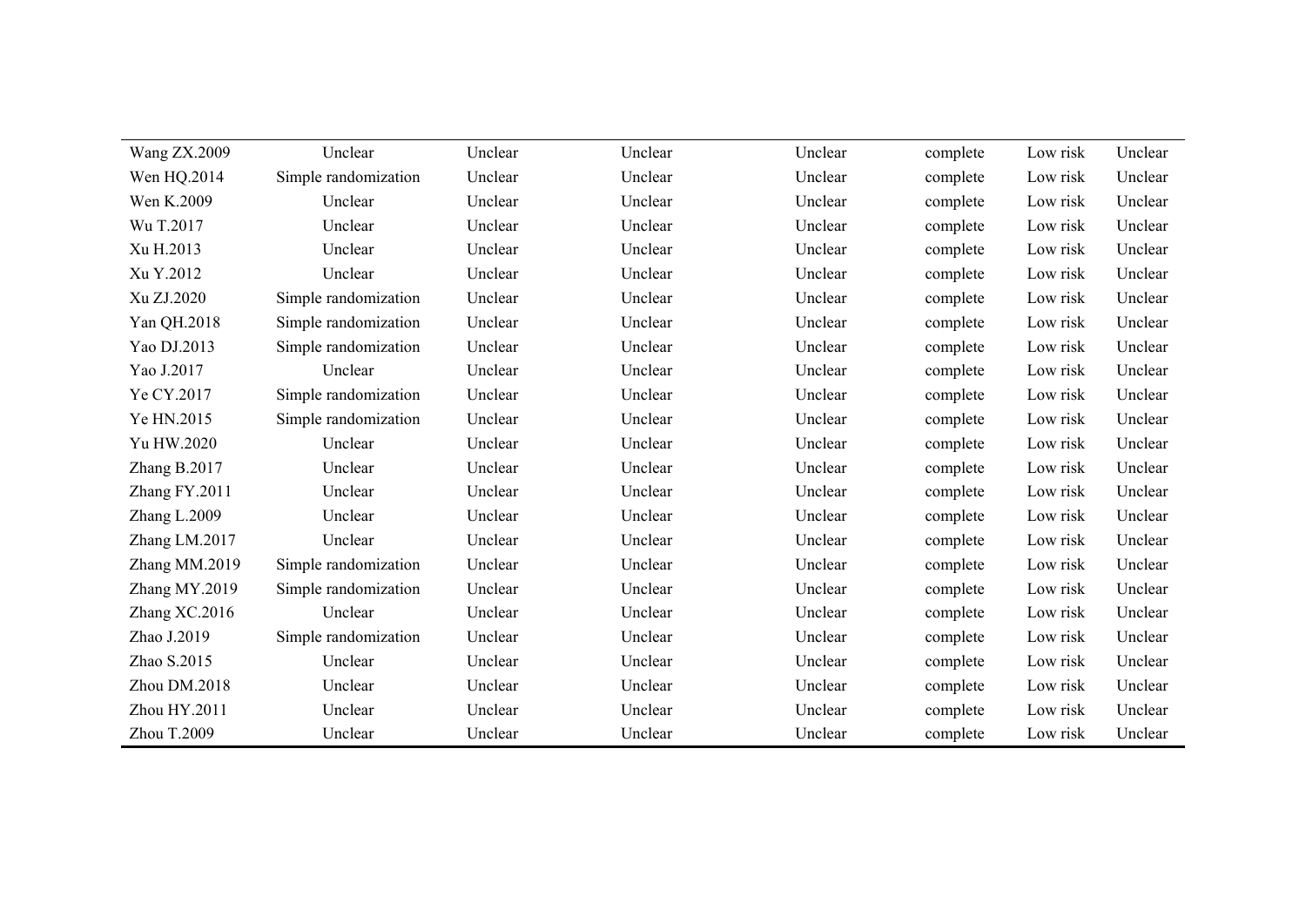| <b>Wang ZX.2009</b> | Unclear              | Unclear | Unclear | Unclear | complete | Low risk | Unclear |
|---------------------|----------------------|---------|---------|---------|----------|----------|---------|
| Wen HQ.2014         | Simple randomization | Unclear | Unclear | Unclear | complete | Low risk | Unclear |
| Wen K.2009          | Unclear              | Unclear | Unclear | Unclear | complete | Low risk | Unclear |
| Wu T.2017           | Unclear              | Unclear | Unclear | Unclear | complete | Low risk | Unclear |
| Xu H.2013           | Unclear              | Unclear | Unclear | Unclear | complete | Low risk | Unclear |
| Xu Y.2012           | Unclear              | Unclear | Unclear | Unclear | complete | Low risk | Unclear |
| Xu ZJ.2020          | Simple randomization | Unclear | Unclear | Unclear | complete | Low risk | Unclear |
| Yan QH.2018         | Simple randomization | Unclear | Unclear | Unclear | complete | Low risk | Unclear |
| Yao DJ.2013         | Simple randomization | Unclear | Unclear | Unclear | complete | Low risk | Unclear |
| Yao J.2017          | Unclear              | Unclear | Unclear | Unclear | complete | Low risk | Unclear |
| Ye CY.2017          | Simple randomization | Unclear | Unclear | Unclear | complete | Low risk | Unclear |
| Ye HN.2015          | Simple randomization | Unclear | Unclear | Unclear | complete | Low risk | Unclear |
| Yu HW.2020          | Unclear              | Unclear | Unclear | Unclear | complete | Low risk | Unclear |
| Zhang B.2017        | Unclear              | Unclear | Unclear | Unclear | complete | Low risk | Unclear |
| Zhang FY.2011       | Unclear              | Unclear | Unclear | Unclear | complete | Low risk | Unclear |
| Zhang L.2009        | Unclear              | Unclear | Unclear | Unclear | complete | Low risk | Unclear |
| Zhang LM.2017       | Unclear              | Unclear | Unclear | Unclear | complete | Low risk | Unclear |
| Zhang MM.2019       | Simple randomization | Unclear | Unclear | Unclear | complete | Low risk | Unclear |
| Zhang MY.2019       | Simple randomization | Unclear | Unclear | Unclear | complete | Low risk | Unclear |
| Zhang XC.2016       | Unclear              | Unclear | Unclear | Unclear | complete | Low risk | Unclear |
| Zhao J.2019         | Simple randomization | Unclear | Unclear | Unclear | complete | Low risk | Unclear |
| Zhao S.2015         | Unclear              | Unclear | Unclear | Unclear | complete | Low risk | Unclear |
| Zhou DM.2018        | Unclear              | Unclear | Unclear | Unclear | complete | Low risk | Unclear |
| Zhou HY.2011        | Unclear              | Unclear | Unclear | Unclear | complete | Low risk | Unclear |
| Zhou T.2009         | Unclear              | Unclear | Unclear | Unclear | complete | Low risk | Unclear |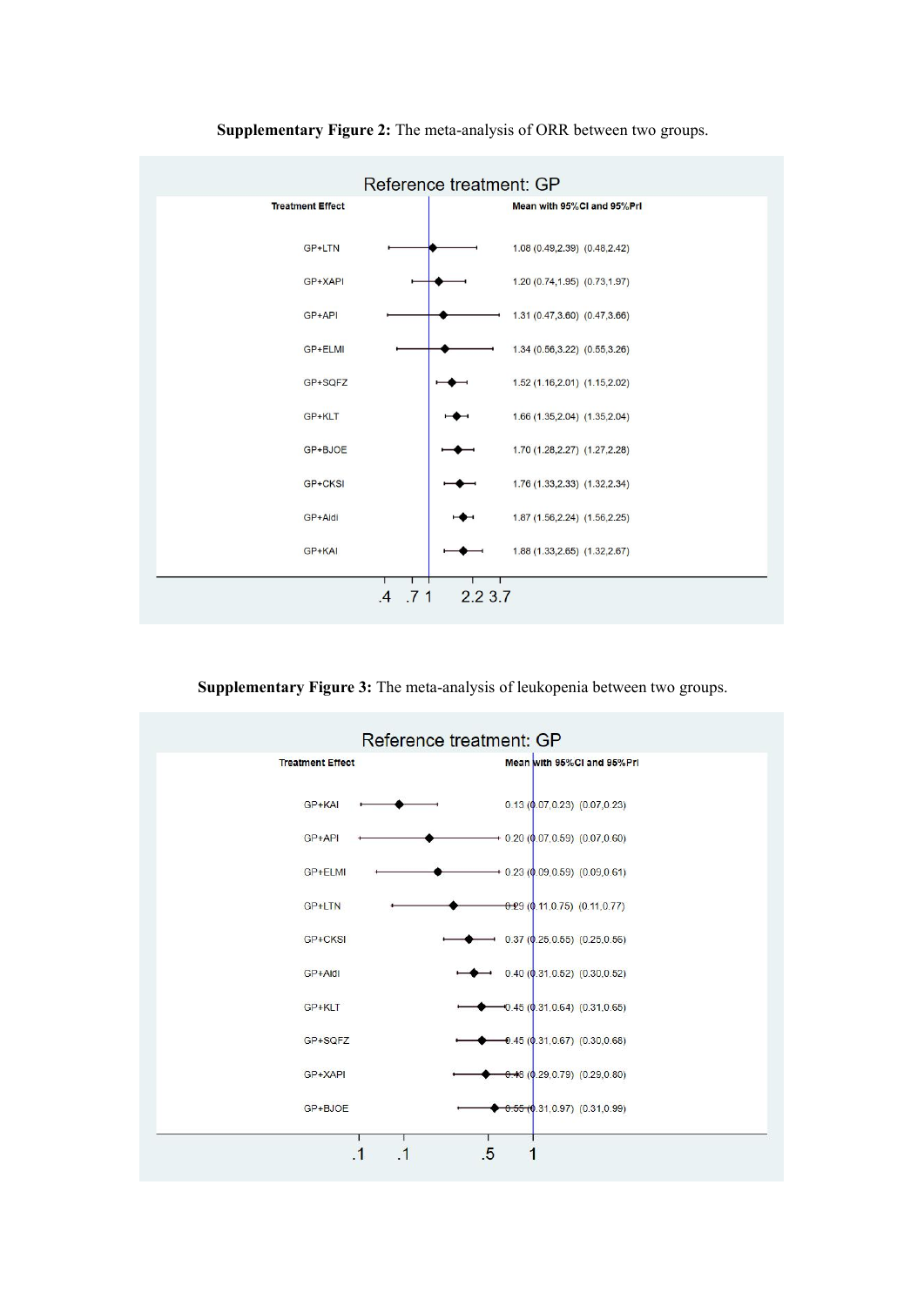

**Supplementary Figure 2:** The meta-analysis of ORR between two groups.

**Supplementary Figure 3:** The meta-analysis of leukopenia between two groups.

|                         | Reference treatment: GP                    |
|-------------------------|--------------------------------------------|
| <b>Treatment Effect</b> | Mean with 95%CI and 95%Prl                 |
| GP+KAI                  | 0.13(0.07, 0.23)(0.07, 0.23)               |
| GP+API                  | $\rightarrow$ 0.20 (0.07,0.59) (0.07,0.60) |
| GP+ELMI                 | $+$ 0.23 (0.09, 0.59) (0.09, 0.61)         |
| GP+LTN                  | $-0.29$ (0.11,0.75) (0.11,0.77)            |
| GP+CKSI                 | $0.37$ (0.25, 0.55) (0.25, 0.56)           |
| GP+Aidi                 | 0.40(0.31, 0.52)(0.30, 0.52)               |
| GP+KLT                  | $-0.45(0.31, 0.64)(0.31, 0.65)$            |
| GP+SQFZ                 | $-0.45(0.31, 0.67)(0.30, 0.68)$            |
| GP+XAPI                 | $0.48$ (0.29, 0.79) (0.29, 0.80)           |
| GP+BJOE                 | $-0.55(0.31, 0.97)$ (0.31,0.99)            |
| $\overline{1}$          | .5                                         |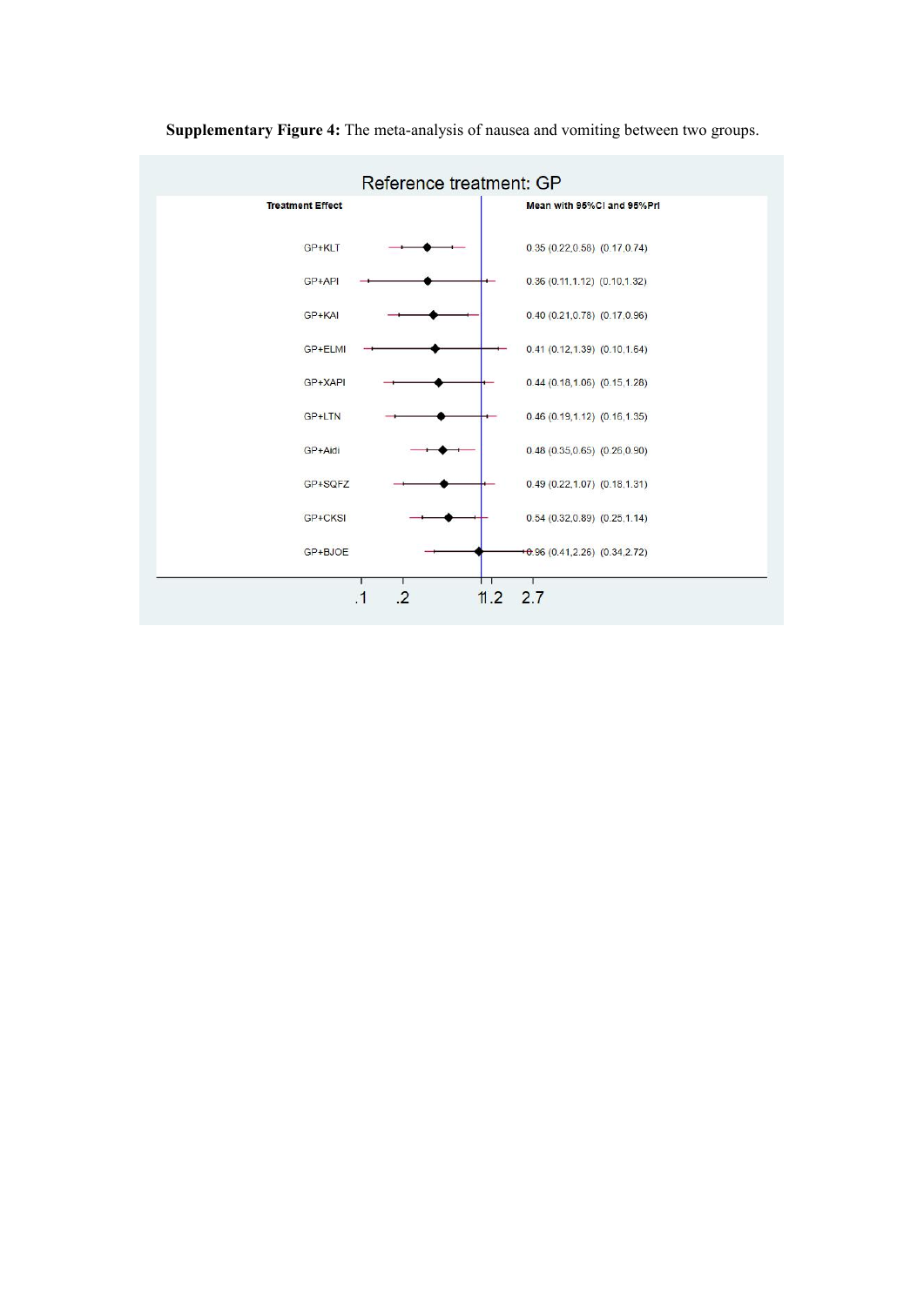

**Supplementary Figure 4:** The meta-analysis of nausea and vomiting between two groups.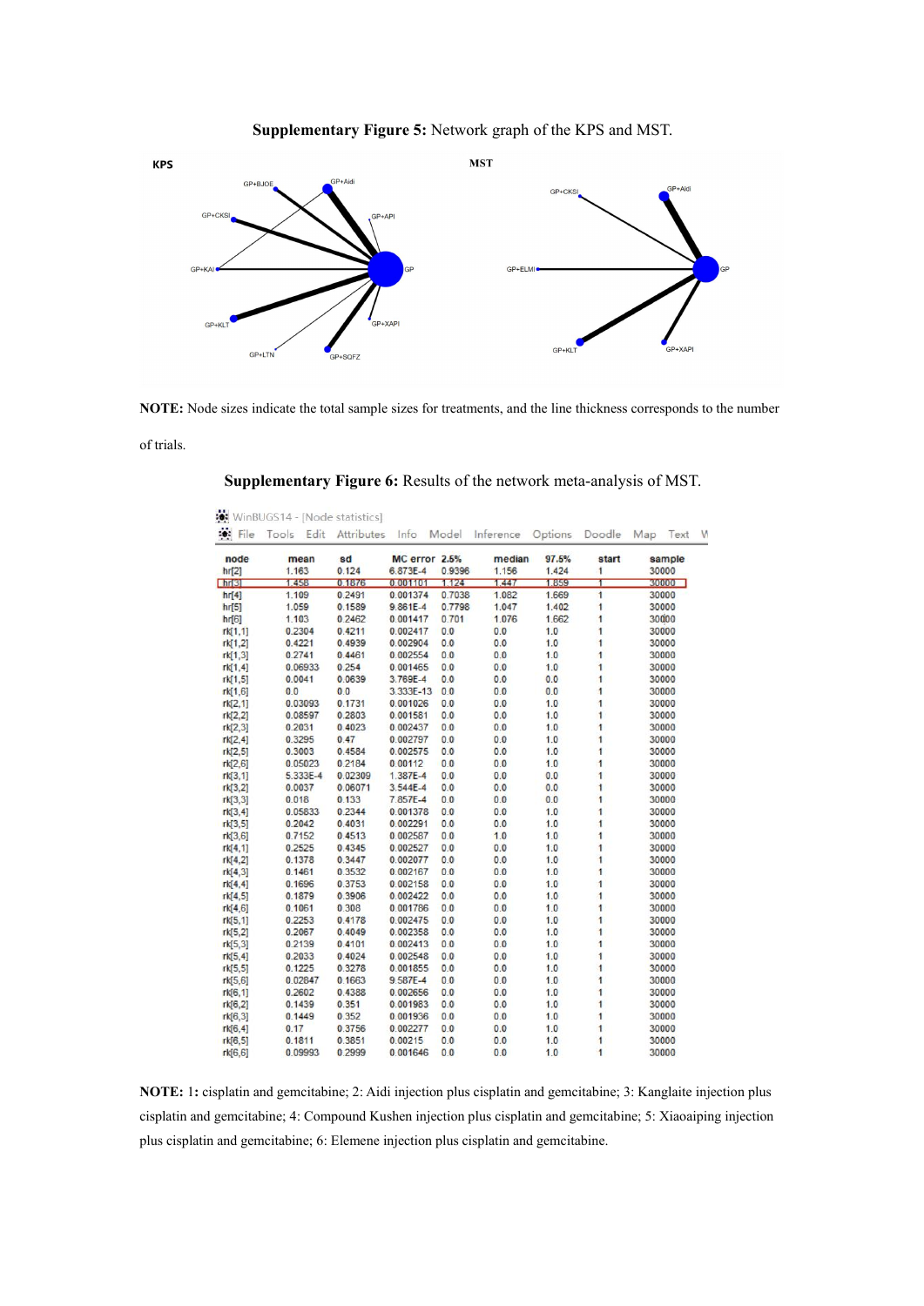



**NOTE:** Node sizes indicate the total sample sizes for treatments, and the line thickness corresponds to the number

of trials.

WinBUGS14 - [Node statistics]

| node           | mean     | sd      | MC error 2.5% |        | median | 97.5% | start          | sample            |
|----------------|----------|---------|---------------|--------|--------|-------|----------------|-------------------|
| hr[2]          | 1.163    | 0.124   | 6.873E-4      | 0.9396 | 1.156  | 1.424 | 1              | 30000             |
| n <sub>1</sub> | 1.458    | 0.1876  | 0.001101      | 1.124  | 1.447  | 1.859 | T              | 30000             |
| hr[4]          | 1.109    | 0.2491  | 0.001374      | 0.7038 | 1.082  | 1.669 | 1              | 30000             |
| hr[5]          | 1.059    | 0.1589  | $9.861E - 4$  | 0.7798 | 1.047  | 1.402 | 1              | 30000             |
| hr[6]          | 1.103    | 0.2462  | 0.001417      | 0.701  | 1.076  | 1.662 | 1              | 300 <sub>00</sub> |
| rk[1,1]        | 0.2304   | 0.4211  | 0.002417      | 0.0    | 0.0    | 1.0   | 1              | 30000             |
| rk[1,2]        | 0.4221   | 0.4939  | 0.002904      | 0.0    | 0.0    | 1.0   | 1              | 30000             |
| rk[1,3]        | 0.2741   | 0.4461  | 0.002554      | 0.0    | 0.0    | 1.0   | 1              | 30000             |
| rk[1,4]        | 0.06933  | 0.254   | 0.001465      | 0.0    | 0.0    | 1.0   | 1              | 30000             |
| rk[1,5]        | 0.0041   | 0.0639  | 3.769E-4      | 0.0    | 0.0    | 0.0   | 1              | 30000             |
| rk[1,6]        | 0.0      | 0.0     | 3.333E-13     | 0.0    | 0.0    | 0.0   | 1              | 30000             |
| rk[2,1]        | 0.03093  | 0.1731  | 0.001026      | 0.0    | 0.0    | 1.0   | 1              | 30000             |
| rk[2.2]        | 0.08597  | 0.2803  | 0.001581      | 0.0    | 0.0    | 1.0   | 1              | 30000             |
| rk[2,3]        | 0.2031   | 0.4023  | 0.002437      | 0.0    | 0.0    | 1.0   | 1              | 30000             |
| rk[2,4]        | 0.3295   | 0.47    | 0.002797      | 0.0    | 0.0    | 1.0   | 1              | 30000             |
| rk[2,5]        | 0.3003   | 0.4584  | 0.002575      | 0.0    | 0.0    | 1.0   | 1              | 30000             |
| rk[2,6]        | 0.05023  | 0.2184  | 0.00112       | 0.0    | 0.0    | 1.0   | 1              | 30000             |
| rk[3,1]        | 5.333E-4 | 0.02309 | 1.387E-4      | 0.0    | 0.0    | 0.0   | 1              | 30000             |
| rk[3,2]        | 0.0037   | 0.06071 | $3.544E - 4$  | 0.0    | 0.0    | 0.0   | 1              | 30000             |
| rk[3,3]        | 0.018    | 0.133   | 7.857E-4      | 0.0    | 0.0    | 0.0   | $\overline{1}$ | 30000             |
| rk[3,4]        | 0.05833  | 0.2344  | 0.001378      | 0.0    | 0.0    | 1.0   | 1              | 30000             |
| rk[3,5]        | 0.2042   | 0.4031  | 0.002291      | 0.0    | 0.0    | 1.0   | 1              | 30000             |
| rk[3,6]        | 0.7152   | 0.4513  | 0.002587      | 0.0    | 1.0    | 1.0   | 1              | 30000             |
| rk[4,1]        | 0.2525   | 0.4345  | 0.002527      | 0.0    | 0.0    | 1.0   | 1              | 30000             |
| rk[4,2]        | 0.1378   | 0.3447  | 0.002077      | 0.0    | 0.0    | 1.0   | ĩ              | 30000             |
| rk[4,3]        | 0.1461   | 0.3532  | 0.002167      | 0.0    | 0.0    | 1.0   | 1              | 30000             |
| rk[4,4]        | 0.1696   | 0.3753  | 0.002158      | 0.0    | 0.0    | 1.0   | 1              | 30000             |
| rk[4,5]        | 0.1879   | 0.3906  | 0.002422      | 0.0    | 0.0    | 1.0   | 1              | 30000             |
| rk[4,6]        | 0.1061   | 0.308   | 0.001786      | 0.0    | 0.0    | 1.0   | 1              | 30000             |
| rk[5,1]        | 0.2253   | 0.4178  | 0.002475      | 0.0    | 0.0    | 1.0   | 1              | 30000             |
| rk[5,2]        | 0.2067   | 0.4049  | 0.002358      | 0.0    | 0.0    | 1.0   | 1              | 30000             |
| rk[5,3]        | 0.2139   | 0.4101  | 0.002413      | 0.0    | 0.0    | 1.0   | 1              | 30000             |
| rk[5,4]        | 0.2033   | 0.4024  | 0.002548      | 0.0    | 0.0    | 1.0   | 1              | 30000             |
| rk[5,5]        | 0.1225   | 0.3278  | 0.001855      | 0.0    | 0.0    | 1.0   | $\overline{1}$ | 30000             |
| rk[5,6]        | 0.02847  | 0.1663  | 9.587E-4      | 0.0    | 0.0    | 1.0   | 1              | 30000             |
| rk[6,1]        | 0.2602   | 0.4388  | 0.002656      | 0.0    | 0.0    | 1.0   | 1              | 30000             |
| rk[6,2]        | 0.1439   | 0.351   | 0.001983      | 0.0    | 0.0    | 1.0   | 1              | 30000             |
| rk[6,3]        | 0.1449   | 0.352   | 0.001936      | 0.0    | 0.0    | 1.0   | 1              | 30000             |
| rk[6,4]        | 0.17     | 0.3756  | 0.002277      | 0.0    | 0.0    | 1.0   | 1              | 30000             |
| rk[6,5]        | 0.1811   | 0.3851  | 0.00215       | 0.0    | 0.0    | 1.0   | 1              | 30000             |
| rk[6,6]        | 0.09993  | 0.2999  | 0.001646      | 0.0    | 0.0    | 1.0   | 1              | 30000             |

**Supplementary Figure 6:** Results of the network meta-analysis of MST.

**NOTE:** 1**:** cisplatin and gemcitabine; 2: Aidi injection plus cisplatin and gemcitabine; 3: Kanglaite injection plus cisplatin and gemcitabine; 4: Compound Kushen injection plus cisplatin and gemcitabine; 5: Xiaoaiping injection plus cisplatin and gemcitabine; 6: Elemene injection plus cisplatin and gemcitabine.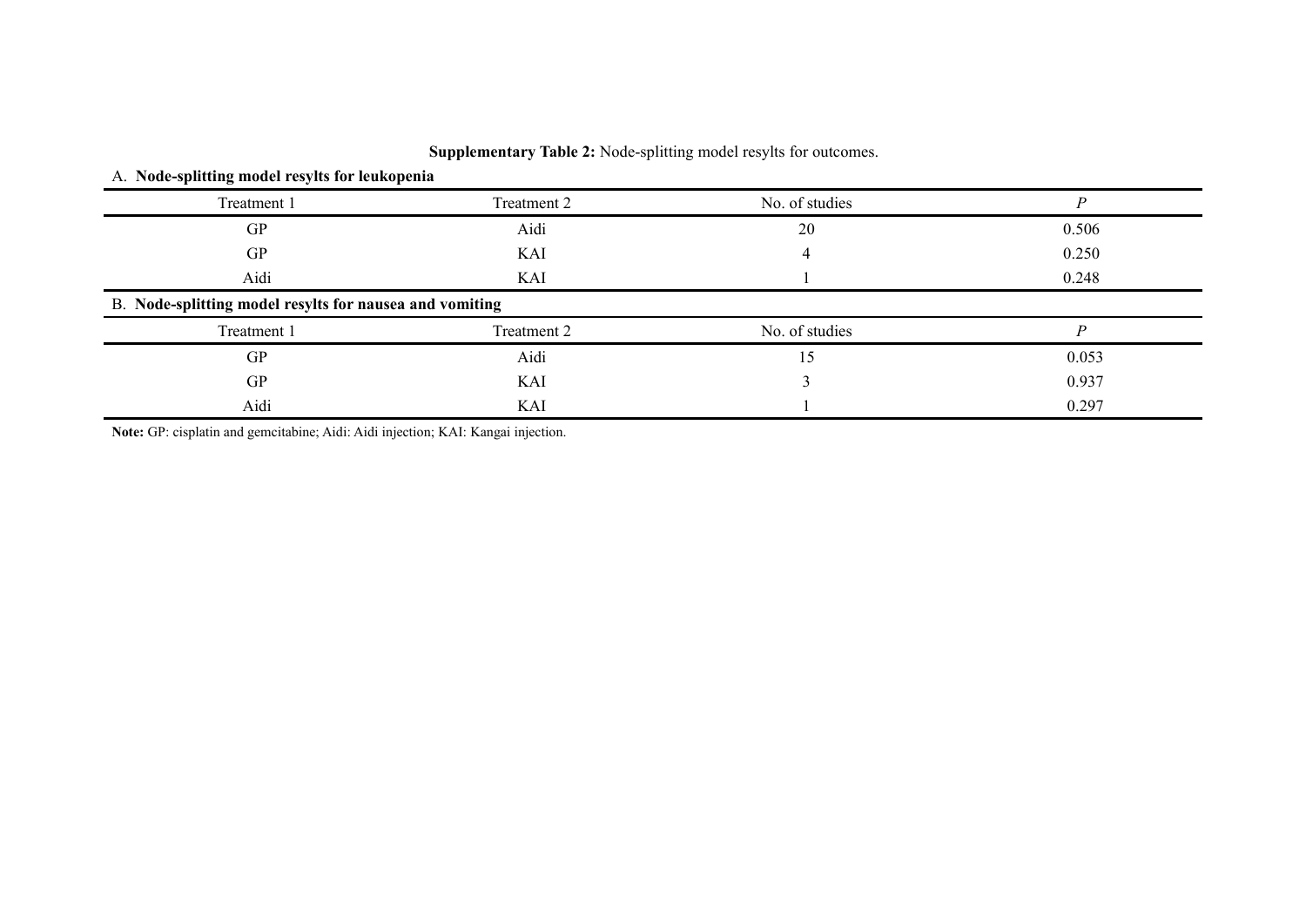| <b>Supplementary Table 2:</b> Node-splitting model resylts for outcomes. |  |  |  |  |
|--------------------------------------------------------------------------|--|--|--|--|
|--------------------------------------------------------------------------|--|--|--|--|

## A. **Node-splitting model resylts for leukopenia**

| Treatment 1                                             | Treatment 2 | No. of studies |       |
|---------------------------------------------------------|-------------|----------------|-------|
| GP                                                      | Aidi        | 20             | 0.506 |
| GP                                                      | KAI         |                | 0.250 |
| Aidi                                                    | KAI         |                | 0.248 |
| B. Node-splitting model resylts for nausea and vomiting |             |                |       |
| Treatment 1                                             | Treatment 2 | No. of studies |       |
| GP                                                      | Aidi        | د،             | 0.053 |
| GP                                                      | KAI         |                | 0.937 |
| Aidi                                                    | KAI         |                | 0.297 |

**Note:** GP: cisplatin and gemcitabine; Aidi: Aidi injection; KAI: Kangai injection.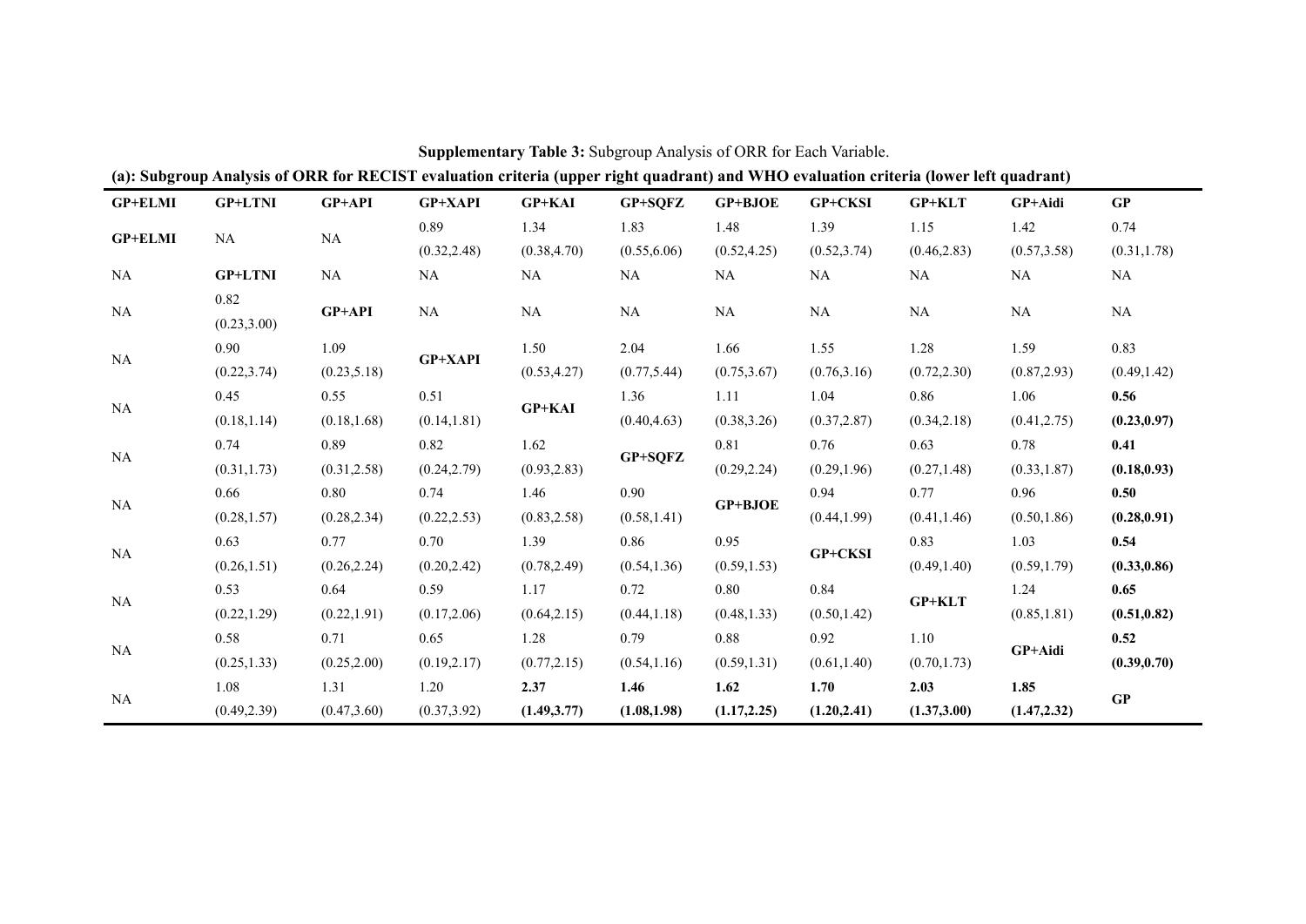| <b>GP+ELMI</b> | <b>GP+LTNI</b> | <b>GP+API</b> | <b>GP+XAPI</b> | <b>GP+KAI</b> | GP+SQFZ      | GP+BJOE      | GP+CKSI      | <b>GP+KLT</b> | GP+Aidi      | GP           |
|----------------|----------------|---------------|----------------|---------------|--------------|--------------|--------------|---------------|--------------|--------------|
|                |                |               | 0.89           | 1.34          | 1.83         | 1.48         | 1.39         | 1.15          | 1.42         | 0.74         |
| <b>GP+ELMI</b> | NA             | NA            | (0.32, 2.48)   | (0.38, 4.70)  | (0.55, 6.06) | (0.52, 4.25) | (0.52, 3.74) | (0.46, 2.83)  | (0.57, 3.58) | (0.31, 1.78) |
| NA             | <b>GP+LTNI</b> | NA            | NA             | NA            | NA           | NA           | NA           | NA            | <b>NA</b>    | NA           |
|                | 0.82           |               |                |               |              |              |              |               |              |              |
| $\rm NA$       | (0.23, 3.00)   | GP+API        | $\rm NA$       | $\rm NA$      | $\rm NA$     | $\rm NA$     | $\rm NA$     | $\rm NA$      | <b>NA</b>    | $\rm NA$     |
| NA             | 0.90           | 1.09          | GP+XAPI        | 1.50          | 2.04         | 1.66         | 1.55         | 1.28          | 1.59         | 0.83         |
|                | (0.22, 3.74)   | (0.23, 5.18)  |                | (0.53, 4.27)  | (0.77, 5.44) | (0.75, 3.67) | (0.76, 3.16) | (0.72, 2.30)  | (0.87, 2.93) | (0.49, 1.42) |
| NA             | 0.45           | 0.55          | 0.51           | <b>GP+KAI</b> | 1.36         | 1.11         | 1.04         | 0.86          | 1.06         | 0.56         |
|                | (0.18, 1.14)   | (0.18, 1.68)  | (0.14, 1.81)   |               | (0.40, 4.63) | (0.38, 3.26) | (0.37, 2.87) | (0.34, 2.18)  | (0.41, 2.75) | (0.23, 0.97) |
| NA             | 0.74           | 0.89          | 0.82           | 1.62          | GP+SQFZ      | 0.81         | 0.76         | 0.63          | 0.78         | 0.41         |
|                | (0.31, 1.73)   | (0.31, 2.58)  | (0.24, 2.79)   | (0.93, 2.83)  |              | (0.29, 2.24) | (0.29, 1.96) | (0.27, 1.48)  | (0.33, 1.87) | (0.18, 0.93) |
| NA             | 0.66           | 0.80          | 0.74           | 1.46          | 0.90         | GP+BJOE      | 0.94         | 0.77          | 0.96         | 0.50         |
|                | (0.28, 1.57)   | (0.28, 2.34)  | (0.22, 2.53)   | (0.83, 2.58)  | (0.58, 1.41) |              | (0.44, 1.99) | (0.41, 1.46)  | (0.50, 1.86) | (0.28, 0.91) |
| NA             | 0.63           | 0.77          | 0.70           | 1.39          | 0.86         | 0.95         | GP+CKSI      | 0.83          | 1.03         | 0.54         |
|                | (0.26, 1.51)   | (0.26, 2.24)  | (0.20, 2.42)   | (0.78, 2.49)  | (0.54, 1.36) | (0.59, 1.53) |              | (0.49, 1.40)  | (0.59, 1.79) | (0.33, 0.86) |
| $\rm NA$       | 0.53           | 0.64          | 0.59           | 1.17          | 0.72         | 0.80         | 0.84         | GP+KLT        | 1.24         | 0.65         |
|                | (0.22, 1.29)   | (0.22, 1.91)  | (0.17, 2.06)   | (0.64, 2.15)  | (0.44, 1.18) | (0.48, 1.33) | (0.50, 1.42) |               | (0.85, 1.81) | (0.51, 0.82) |
| NA             | 0.58           | 0.71          | 0.65           | 1.28          | 0.79         | 0.88         | 0.92         | 1.10          | GP+Aidi      | 0.52         |
|                | (0.25, 1.33)   | (0.25, 2.00)  | (0.19, 2.17)   | (0.77, 2.15)  | (0.54, 1.16) | (0.59, 1.31) | (0.61, 1.40) | (0.70, 1.73)  |              | (0.39, 0.70) |
| NA             | 1.08           | 1.31          | 1.20           | 2.37          | 1.46         | 1.62         | 1.70         | 2.03          | 1.85         | GP           |
|                | (0.49, 2.39)   | (0.47, 3.60)  | (0.37, 3.92)   | (1.49, 3.77)  | (1.08, 1.98) | (1.17, 2.25) | (1.20, 2.41) | (1.37, 3.00)  | (1.47, 2.32) |              |

**Supplementary Table 3:** Subgroup Analysis of ORR for Each Variable.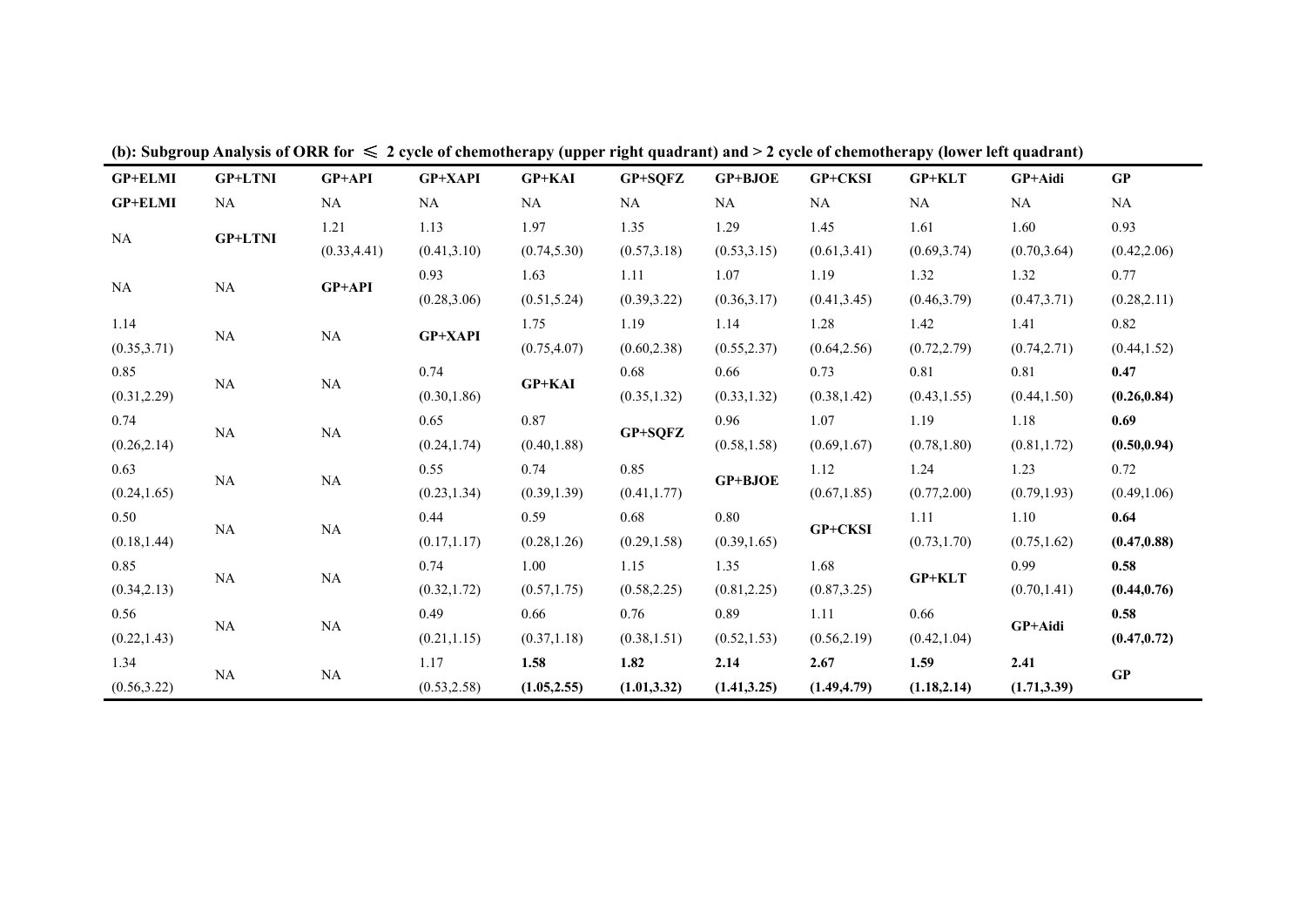|                |                |               |                | .                       |              |                |              | $\cdots$      |              |              |
|----------------|----------------|---------------|----------------|-------------------------|--------------|----------------|--------------|---------------|--------------|--------------|
| <b>GP+ELMI</b> | <b>GP+LTNI</b> | <b>GP+API</b> | <b>GP+XAPI</b> | <b>GP+KAI</b>           | GP+SQFZ      | <b>GP+BJOE</b> | GP+CKSI      | $GP+KLT$      | GP+Aidi      | GP           |
| <b>GP+ELMI</b> | NA             | NA            | NA             | NA                      | NA           | NA             | NA           | NA            | NA           | NA           |
| NA             | <b>GP+LTNI</b> | 1.21          | 1.13           | 1.97                    | 1.35         | 1.29           | 1.45         | 1.61          | 1.60         | 0.93         |
|                |                | (0.33, 4.41)  | (0.41, 3.10)   | (0.74, 5.30)            | (0.57, 3.18) | (0.53, 3.15)   | (0.61, 3.41) | (0.69, 3.74)  | (0.70, 3.64) | (0.42, 2.06) |
| NA             | NA             | GP+API        | 0.93           | 1.63                    | 1.11         | 1.07           | 1.19         | 1.32          | 1.32         | 0.77         |
|                |                |               | (0.28, 3.06)   | (0.51, 5.24)            | (0.39, 3.22) | (0.36, 3.17)   | (0.41, 3.45) | (0.46, 3.79)  | (0.47, 3.71) | (0.28, 2.11) |
| 1.14           | NA             |               | <b>GP+XAPI</b> | 1.75                    | 1.19         | 1.14           | 1.28         | 1.42          | 1.41         | 0.82         |
| (0.35, 3.71)   |                | NA            |                | (0.75, 4.07)            | (0.60, 2.38) | (0.55, 2.37)   | (0.64, 2.56) | (0.72, 2.79)  | (0.74, 2.71) | (0.44, 1.52) |
| 0.85           | <b>NA</b>      | NA            | 0.74           |                         | 0.68         | 0.66           | 0.73         | 0.81          | 0.81         | 0.47         |
| (0.31, 2.29)   |                |               | (0.30, 1.86)   | <b>GP+KAI</b>           | (0.35, 1.32) | (0.33, 1.32)   | (0.38, 1.42) | (0.43, 1.55)  | (0.44, 1.50) | (0.26, 0.84) |
| 0.74           | NA             | NA            | 0.65           | 0.87                    |              | 0.96           | 1.07         | 1.19          | 1.18         | 0.69         |
| (0.26, 2.14)   |                |               | (0.24, 1.74)   | GP+SQFZ<br>(0.40, 1.88) | (0.58, 1.58) | (0.69, 1.67)   | (0.78, 1.80) | (0.81, 1.72)  | (0.50, 0.94) |              |
| 0.63           |                |               | 0.55           | 0.74                    | 0.85         | GP+BJOE        | 1.12         | 1.24          | 1.23         | 0.72         |
| (0.24, 1.65)   | NA             | NA            | (0.23, 1.34)   | (0.39, 1.39)            | (0.41, 1.77) |                | (0.67, 1.85) | (0.77, 2.00)  | (0.79, 1.93) | (0.49, 1.06) |
| 0.50           |                |               | 0.44           | 0.59                    | 0.68         | 0.80           |              | 1.11          | 1.10         | 0.64         |
| (0.18, 1.44)   | NA             | NA            | (0.17, 1.17)   | (0.28, 1.26)            | (0.29, 1.58) | (0.39, 1.65)   | GP+CKSI      | (0.73, 1.70)  | (0.75, 1.62) | (0.47, 0.88) |
| 0.85           |                |               | 0.74           | 1.00                    | 1.15         | 1.35           | 1.68         |               | 0.99         | 0.58         |
| (0.34, 2.13)   | NA             | NA            | (0.32, 1.72)   | (0.57, 1.75)            | (0.58, 2.25) | (0.81, 2.25)   | (0.87, 3.25) | <b>GP+KLT</b> | (0.70, 1.41) | (0.44, 0.76) |
| 0.56           |                |               | 0.49           | 0.66                    | 0.76         | 0.89           | 1.11         | 0.66          |              | 0.58         |
| (0.22, 1.43)   | <b>NA</b>      | NA            | (0.21, 1.15)   | (0.37, 1.18)            | (0.38, 1.51) | (0.52, 1.53)   | (0.56, 2.19) | (0.42, 1.04)  | GP+Aidi      | (0.47, 0.72) |
| 1.34           |                |               | 1.17           | 1.58                    | 1.82         | 2.14           | 2.67         | 1.59          | 2.41         |              |
| (0.56, 3.22)   | NA             | NA            | (0.53, 2.58)   | (1.05, 2.55)            | (1.01, 3.32) | (1.41, 3.25)   | (1.49, 4.79) | (1.18, 2.14)  | (1.71, 3.39) | GP           |
|                |                |               |                |                         |              |                |              |               |              |              |

(b): Subgroup Analysis of ORR for  $\leq 2$  cycle of chemotherapy (upper right quadrant) and > 2 cycle of chemotherapy (lower left quadrant)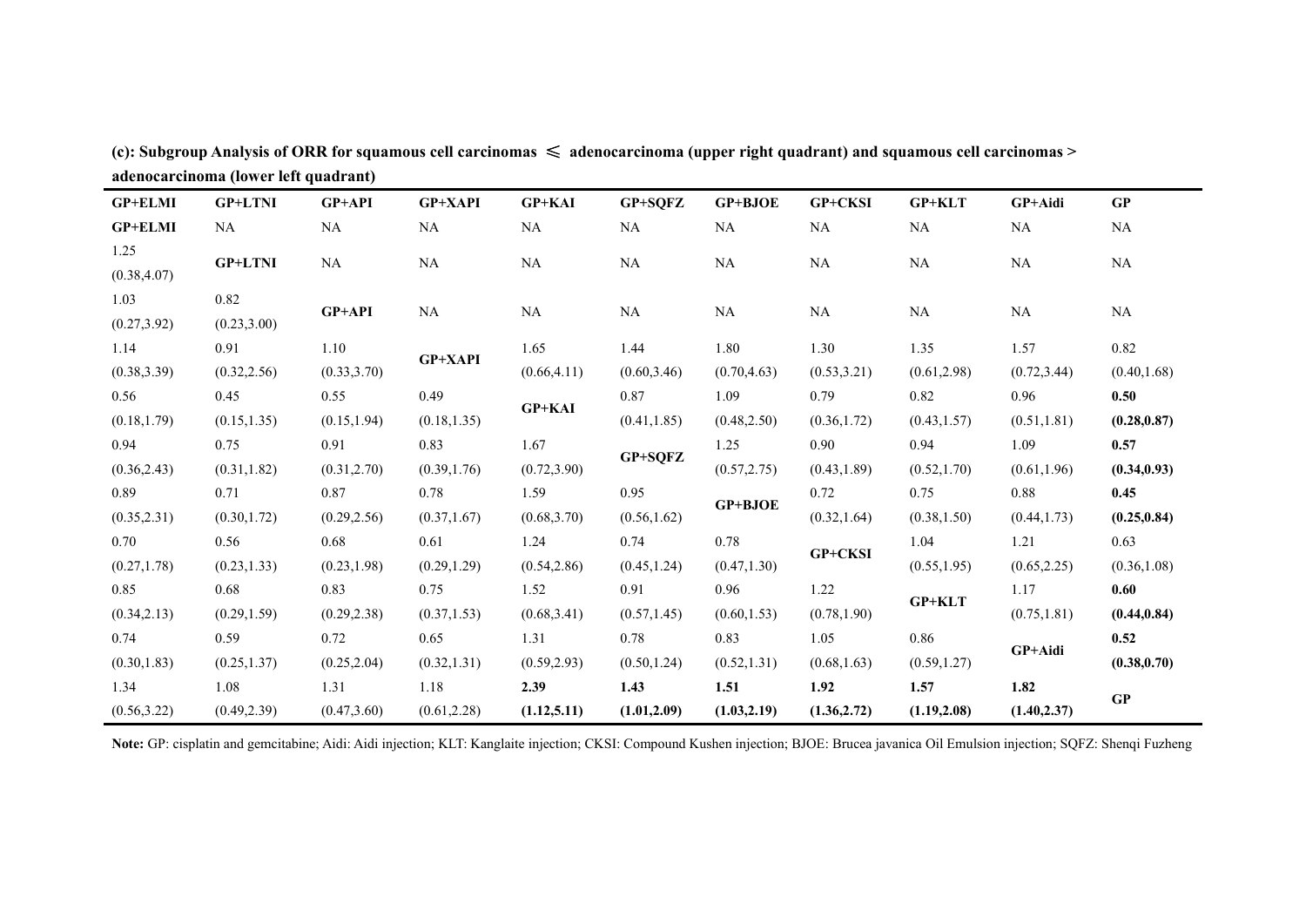| <b>GP+ELMI</b>       | <b>GP+LTNI</b> | <b>GP+API</b> | GP+XAPI        | <b>GP+KAI</b> | GP+SQFZ      | <b>GP+BJOE</b> | GP+CKSI      | <b>GP+KLT</b>                | GP+Aidi      | GP           |
|----------------------|----------------|---------------|----------------|---------------|--------------|----------------|--------------|------------------------------|--------------|--------------|
| <b>GP+ELMI</b>       | NA             | NA            | NA             | NA            | NA           | NA             | NA           | NA                           | NA           | NA           |
| 1.25<br>(0.38, 4.07) | <b>GP+LTNI</b> | NA            | NA             | NA            | NA           | NA             | NA           | NA                           | NA           | <b>NA</b>    |
| 1.03                 | 0.82           | GP+API        | NA             | NA            | NA           | NA             | NA           | NA                           | NA           | NA           |
| (0.27, 3.92)         | (0.23, 3.00)   |               |                |               |              |                |              |                              |              |              |
| 1.14                 | 0.91           | 1.10          | <b>GP+XAPI</b> | 1.65          | 1.44         | 1.80           | 1.30         | 1.35                         | 1.57         | 0.82         |
| (0.38, 3.39)         | (0.32, 2.56)   | (0.33, 3.70)  |                | (0.66, 4.11)  | (0.60, 3.46) | (0.70, 4.63)   | (0.53, 3.21) | (0.61, 2.98)                 | (0.72, 3.44) | (0.40, 1.68) |
| 0.56                 | 0.45           | 0.55          | 0.49           | <b>GP+KAI</b> | 0.87         | 1.09           | 0.79         | 0.82                         | 0.96         | 0.50         |
| (0.18, 1.79)         | (0.15, 1.35)   | (0.15, 1.94)  | (0.18, 1.35)   |               | (0.41, 1.85) | (0.48, 2.50)   | (0.36, 1.72) | (0.43, 1.57)                 | (0.51, 1.81) | (0.28, 0.87) |
| 0.94                 | 0.75           | 0.91          | 0.83           | 1.67          |              | 1.25           | 0.90         | 0.94                         | 1.09         | 0.57         |
| (0.36, 2.43)         | (0.31, 1.82)   | (0.31, 2.70)  | (0.39, 1.76)   | (0.72, 3.90)  | GP+SQFZ      | (0.57, 2.75)   | (0.43, 1.89) | (0.52, 1.70)                 | (0.61, 1.96) | (0.34, 0.93) |
| 0.89                 | 0.71           | 0.87          | 0.78           | 1.59          | 0.95         |                | 0.72         | 0.75                         | 0.88         | 0.45         |
| (0.35, 2.31)         | (0.30, 1.72)   | (0.29, 2.56)  | (0.37, 1.67)   | (0.68, 3.70)  | (0.56, 1.62) | <b>GP+BJOE</b> | (0.32, 1.64) | (0.38, 1.50)                 | (0.44, 1.73) | (0.25, 0.84) |
| 0.70                 | 0.56           | 0.68          | 0.61           | 1.24          | 0.74         | 0.78           |              | 1.04                         | 1.21         | 0.63         |
| (0.27, 1.78)         | (0.23, 1.33)   | (0.23, 1.98)  | (0.29, 1.29)   | (0.54, 2.86)  | (0.45, 1.24) | (0.47, 1.30)   | GP+CKSI      | (0.55, 1.95)                 | (0.65, 2.25) | (0.36, 1.08) |
| 0.85                 | 0.68           | 0.83          | 0.75           | 1.52          | 0.91         | 0.96           | 1.22         |                              | 1.17         | 0.60         |
| (0.34, 2.13)         | (0.29, 1.59)   | (0.29, 2.38)  | (0.37, 1.53)   | (0.68, 3.41)  | (0.57, 1.45) | (0.60, 1.53)   | (0.78, 1.90) | GP+KLT                       | (0.75, 1.81) | (0.44, 0.84) |
| 0.74                 | 0.59           | 0.72          | 0.65           | 1.31          | 0.78         | 0.83           | 1.05         | 0.86                         |              | 0.52         |
| (0.30, 1.83)         | (0.25, 1.37)   | (0.25, 2.04)  | (0.32, 1.31)   | (0.59, 2.93)  | (0.50, 1.24) | (0.52, 1.31)   | (0.68, 1.63) | (0.59, 1.27)                 | GP+Aidi      | (0.38, 0.70) |
| 1.34                 | 1.08           | 1.31          | 1.18           | 2.39          | 1.43         | 1.51           | 1.92         | 1.57                         | 1.82         |              |
| (0.56, 3.22)         | (0.49, 2.39)   | (0.47, 3.60)  | (0.61, 2.28)   | (1.12, 5.11)  | (1.01, 2.09) | (1.03, 2.19)   | (1.36, 2.72) | (1.19, 2.08)<br>(1.40, 2.37) | GP           |              |

(c): Subgroup Analysis of ORR for squamous cell carcinomas  $\leq$  adenocarcinoma (upper right quadrant) and squamous cell carcinomas > **adenocarcinoma (lower left quadrant)**

**Note:** GP: cisplatin and gemcitabine; Aidi: Aidi injection; KLT: Kanglaite injection; CKSI: Compound Kushen injection; BJOE: Brucea javanica Oil Emulsion injection; SQFZ: Shenqi Fuzheng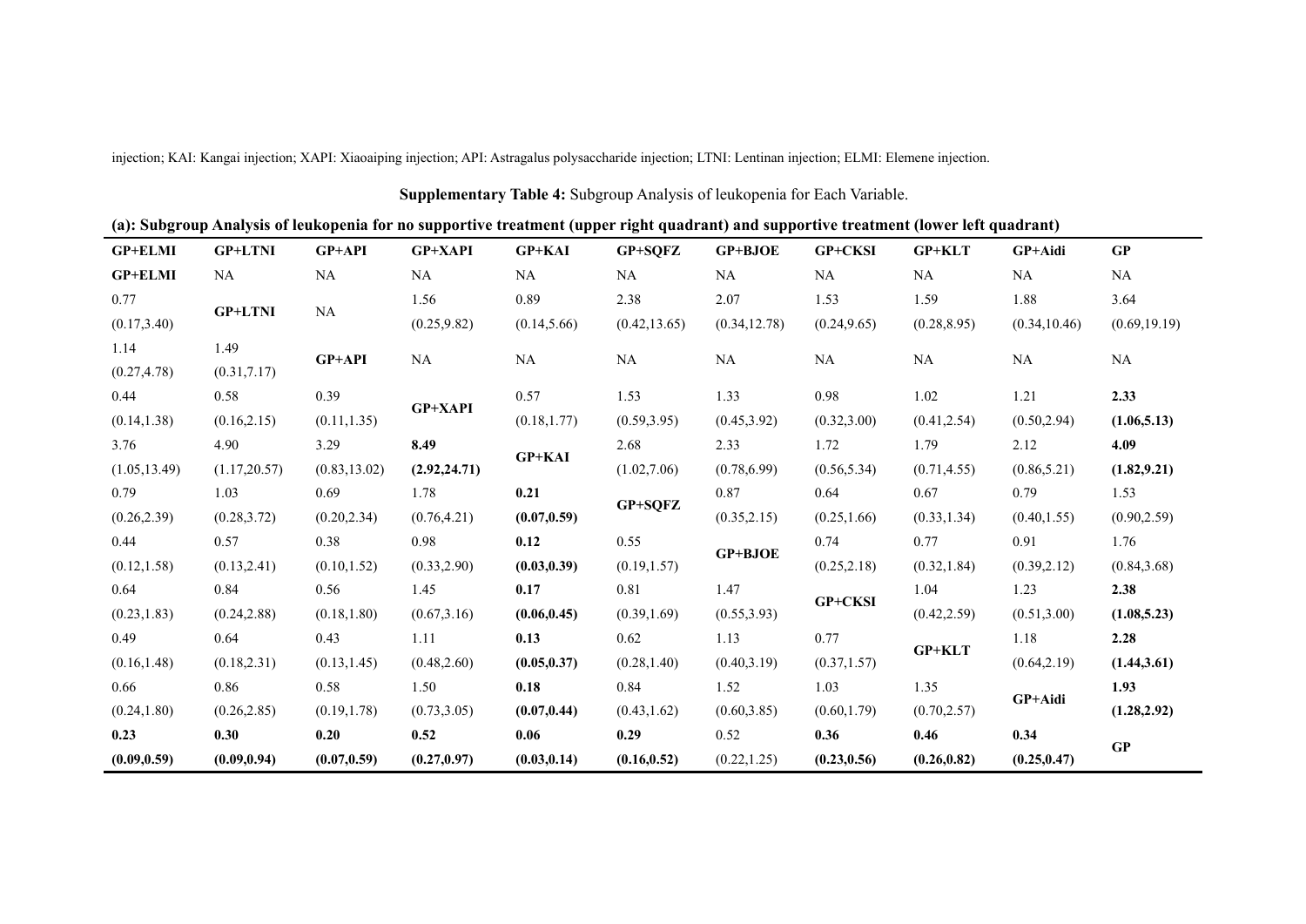|                |                |               |                |               | Supplementary Table 4: Subgroup Analysis of leukopenia for Each Variable.                                                              |               |              |               |               |               |
|----------------|----------------|---------------|----------------|---------------|----------------------------------------------------------------------------------------------------------------------------------------|---------------|--------------|---------------|---------------|---------------|
|                |                |               |                |               | (a): Subgroup Analysis of leukopenia for no supportive treatment (upper right quadrant) and supportive treatment (lower left quadrant) |               |              |               |               |               |
| GP+ELMI        | <b>GP+LTNI</b> | <b>GP+API</b> | <b>GP+XAPI</b> | <b>GP+KAI</b> | GP+SQFZ                                                                                                                                | GP+BJOE       | GP+CKSI      | <b>GP+KLT</b> | GP+Aidi       | GP            |
| <b>GP+ELMI</b> | NA             | $\rm NA$      | NA             | NA            | NA                                                                                                                                     | NA            | NA           | NA            | NA            | NA            |
| 0.77           |                |               | 1.56           | 0.89          | 2.38                                                                                                                                   | 2.07          | 1.53         | 1.59          | 1.88          | 3.64          |
| (0.17, 3.40)   | <b>GP+LTNI</b> | NA            | (0.25, 9.82)   | (0.14, 5.66)  | (0.42, 13.65)                                                                                                                          | (0.34, 12.78) | (0.24, 9.65) | (0.28, 8.95)  | (0.34, 10.46) | (0.69, 19.19) |
| 1.14           | 1.49           | GP+API        | NA             | NA            | NA                                                                                                                                     | $\rm NA$      |              |               | NA            | $\rm NA$      |
| (0.27, 4.78)   | (0.31, 7.17)   |               |                |               |                                                                                                                                        |               | NA           | NA            |               |               |
| 0.44           | 0.58           | 0.39          | GP+XAPI        | 0.57          | 1.53                                                                                                                                   | 1.33          | 0.98         | 1.02          | 1.21          | 2.33          |
| (0.14, 1.38)   | (0.16, 2.15)   | (0.11, 1.35)  |                | (0.18, 1.77)  | (0.59, 3.95)                                                                                                                           | (0.45, 3.92)  | (0.32, 3.00) | (0.41, 2.54)  | (0.50, 2.94)  | (1.06, 5.13)  |
| 3.76           | 4.90           | 3.29          | 8.49           |               | 2.68                                                                                                                                   | 2.33          | 1.72         | 1.79          | 2.12          | 4.09          |
| (1.05, 13.49)  | (1.17, 20.57)  | (0.83, 13.02) | (2.92, 24.71)  | GP+KAI        | (1.02, 7.06)                                                                                                                           | (0.78, 6.99)  | (0.56, 5.34) | (0.71, 4.55)  | (0.86, 5.21)  | (1.82, 9.21)  |
| 0.79           | 1.03           | 0.69          | 1.78           | 0.21          |                                                                                                                                        | 0.87          | 0.64         | 0.67          | 0.79          | 1.53          |
| (0.26, 2.39)   | (0.28, 3.72)   | (0.20, 2.34)  | (0.76, 4.21)   | (0.07, 0.59)  | GP+SQFZ                                                                                                                                | (0.35, 2.15)  | (0.25, 1.66) | (0.33, 1.34)  | (0.40, 1.55)  | (0.90, 2.59)  |
| 0.44           | 0.57           | 0.38          | 0.98           | 0.12          | 0.55                                                                                                                                   |               | 0.74         | 0.77          | 0.91          | 1.76          |
| (0.12, 1.58)   | (0.13, 2.41)   | (0.10, 1.52)  | (0.33, 2.90)   | (0.03, 0.39)  | (0.19, 1.57)                                                                                                                           | GP+BJOE       | (0.25, 2.18) | (0.32, 1.84)  | (0.39, 2.12)  | (0.84, 3.68)  |
| 0.64           | 0.84           | 0.56          | 1.45           | 0.17          | 0.81                                                                                                                                   | 1.47          | GP+CKSI      | 1.04          | 1.23          | 2.38          |
| (0.23, 1.83)   | (0.24, 2.88)   | (0.18, 1.80)  | (0.67, 3.16)   | (0.06, 0.45)  | (0.39, 1.69)                                                                                                                           | (0.55, 3.93)  |              | (0.42, 2.59)  | (0.51, 3.00)  | (1.08, 5.23)  |
| 0.49           | 0.64           | 0.43          | 1.11           | 0.13          | 0.62                                                                                                                                   | 1.13          | 0.77         |               | 1.18          | 2.28          |
| (0.16, 1.48)   | (0.18, 2.31)   | (0.13, 1.45)  | (0.48, 2.60)   | (0.05, 0.37)  | (0.28, 1.40)                                                                                                                           | (0.40, 3.19)  | (0.37, 1.57) | $GP+KLT$      | (0.64, 2.19)  | (1.44, 3.61)  |
| 0.66           | 0.86           | 0.58          | 1.50           | 0.18          | 0.84                                                                                                                                   | 1.52          | 1.03         | 1.35          |               | 1.93          |
| (0.24, 1.80)   | (0.26, 2.85)   | (0.19, 1.78)  | (0.73, 3.05)   | (0.07, 0.44)  | (0.43, 1.62)                                                                                                                           | (0.60, 3.85)  | (0.60, 1.79) | (0.70, 2.57)  | GP+Aidi       | (1.28, 2.92)  |
| 0.23           | 0.30           | 0.20          | 0.52           | 0.06          | 0.29                                                                                                                                   | 0.52          | 0.36         | 0.46          | 0.34          |               |
| (0.09, 0.59)   | (0.09, 0.94)   | (0.07, 0.59)  | (0.27, 0.97)   | (0.03, 0.14)  | (0.16, 0.52)                                                                                                                           | (0.22, 1.25)  | (0.23, 0.56) | (0.26, 0.82)  | (0.25, 0.47)  | GP            |

injection; KAI: Kangai injection; XAPI: Xiaoaiping injection; API: Astragalus polysaccharide injection; LTNI: Lentinan injection; ELMI: Elemene injection.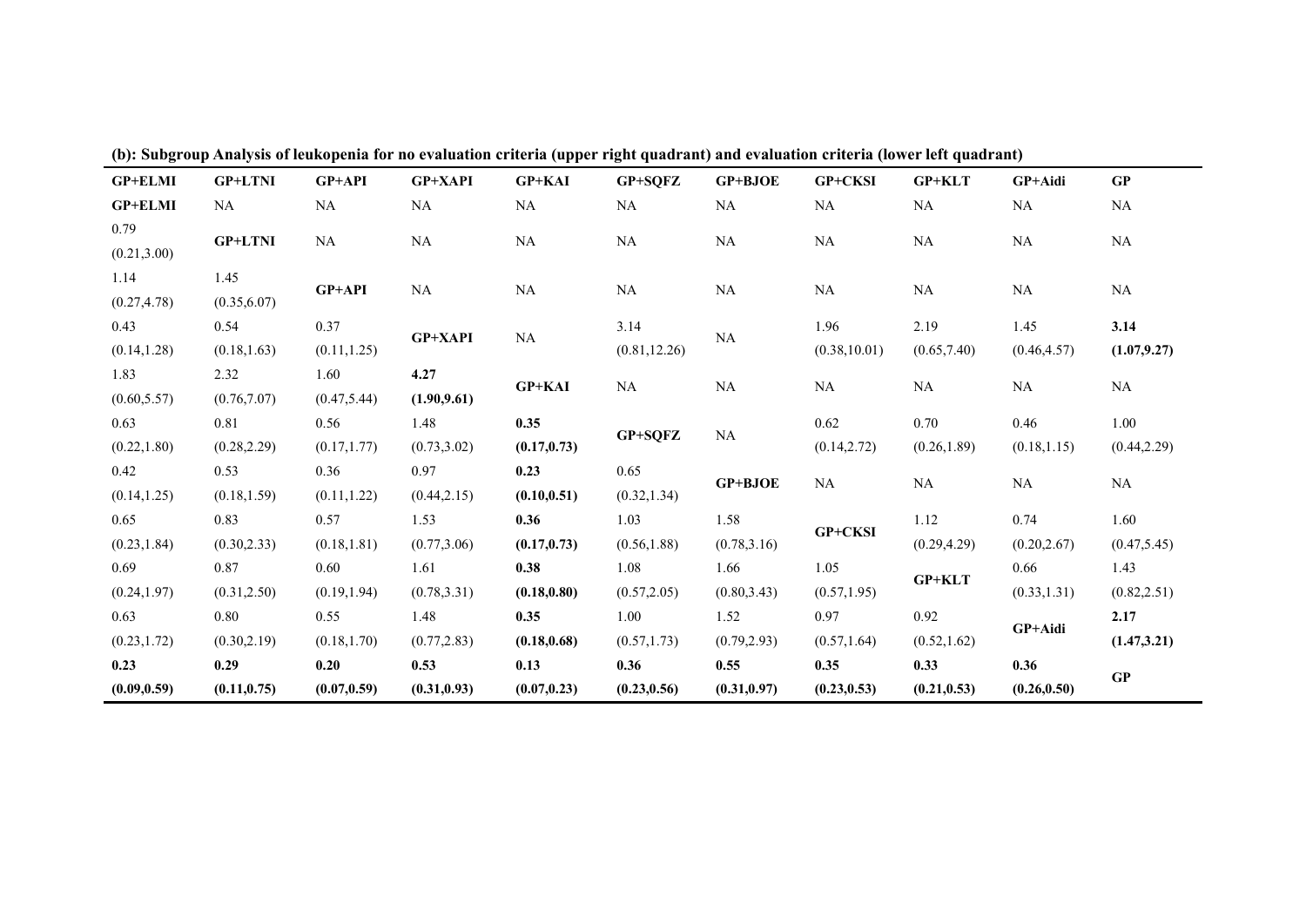| <b>GP+ELMI</b> | <b>GP+LTNI</b> | GP+API       | <b>GP+XAPI</b> | GP+KAI        | GP+SQFZ       | <b>GP+BJOE</b> | <b>GP+CKSI</b>        | <b>GP+KLT</b> | GP+Aidi      | GP           |
|----------------|----------------|--------------|----------------|---------------|---------------|----------------|-----------------------|---------------|--------------|--------------|
| <b>GP+ELMI</b> | NA             | NA           | NA             | NA            | NA            | NA             | NA                    | NA            | NA           | NA           |
| 0.79           | <b>GP+LTNI</b> | NA           | NA             | NA            | NA            | NA             | NA                    | NA            | NA           | NA           |
| (0.21, 3.00)   |                |              |                |               |               |                |                       |               |              |              |
| 1.14           | 1.45           | $GP+API$     | NA             | NA            | NA            | NA             | NA                    | NA            | NA           | NA           |
| (0.27, 4.78)   | (0.35, 6.07)   |              |                |               |               |                |                       |               |              |              |
| 0.43           | 0.54           | 0.37         | <b>GP+XAPI</b> | NA            | 3.14          | NA             | 1.96<br>(0.38, 10.01) | 2.19          | 1.45         | 3.14         |
| (0.14, 1.28)   | (0.18, 1.63)   | (0.11, 1.25) |                |               | (0.81, 12.26) |                |                       | (0.65, 7.40)  | (0.46, 4.57) | (1.07, 9.27) |
| 1.83           | 2.32           | 1.60         | 4.27           | <b>GP+KAI</b> | NA            | NA             | NA                    | NA            | NA           | NA           |
| (0.60, 5.57)   | (0.76, 7.07)   | (0.47, 5.44) | (1.90, 9.61)   |               |               |                |                       |               |              |              |
| 0.63           | 0.81           | 0.56         | 1.48           | 0.35          | GP+SQFZ       | NA             | 0.62                  | 0.70          | 0.46         | 1.00         |
| (0.22, 1.80)   | (0.28, 2.29)   | (0.17, 1.77) | (0.73, 3.02)   | (0.17, 0.73)  |               |                | (0.14, 2.72)          | (0.26, 1.89)  | (0.18, 1.15) | (0.44, 2.29) |
| 0.42           | 0.53           | 0.36         | 0.97           | 0.23          | 0.65          | GP+BJOE        | NA                    | NA            | NA           | NA           |
| (0.14, 1.25)   | (0.18, 1.59)   | (0.11, 1.22) | (0.44, 2.15)   | (0.10, 0.51)  | (0.32, 1.34)  |                |                       |               |              |              |
| 0.65           | 0.83           | 0.57         | 1.53           | 0.36          | 1.03          | 1.58           | GP+CKSI               | 1.12          | 0.74         | 1.60         |
| (0.23, 1.84)   | (0.30, 2.33)   | (0.18, 1.81) | (0.77, 3.06)   | (0.17, 0.73)  | (0.56, 1.88)  | (0.78, 3.16)   |                       | (0.29, 4.29)  | (0.20, 2.67) | (0.47, 5.45) |
| 0.69           | 0.87           | 0.60         | 1.61           | 0.38          | 1.08          | 1.66           | 1.05                  | GP+KLT        | 0.66         | 1.43         |
| (0.24, 1.97)   | (0.31, 2.50)   | (0.19, 1.94) | (0.78, 3.31)   | (0.18, 0.80)  | (0.57, 2.05)  | (0.80, 3.43)   | (0.57, 1.95)          |               | (0.33, 1.31) | (0.82, 2.51) |
| 0.63           | 0.80           | 0.55         | 1.48           | 0.35          | 1.00          | 1.52           | 0.97                  | 0.92          |              | 2.17         |
| (0.23, 1.72)   | (0.30, 2.19)   | (0.18, 1.70) | (0.77, 2.83)   | (0.18, 0.68)  | (0.57, 1.73)  | (0.79, 2.93)   | (0.57, 1.64)          | (0.52, 1.62)  | GP+Aidi      | (1.47, 3.21) |
| 0.23           | 0.29           | 0.20         | 0.53           | 0.13          | 0.36          | 0.55           | 0.35                  | 0.33          | 0.36         | GP           |
| (0.09, 0.59)   | (0.11, 0.75)   | (0.07, 0.59) | (0.31, 0.93)   | (0.07, 0.23)  | (0.23, 0.56)  | (0.31, 0.97)   | (0.23, 0.53)          | (0.21, 0.53)  | (0.26, 0.50) |              |

(b): Subgroup Analysis of leukopenia for no evaluation criteria (upper right quadrant) and evaluation criteria (lower left quadrant)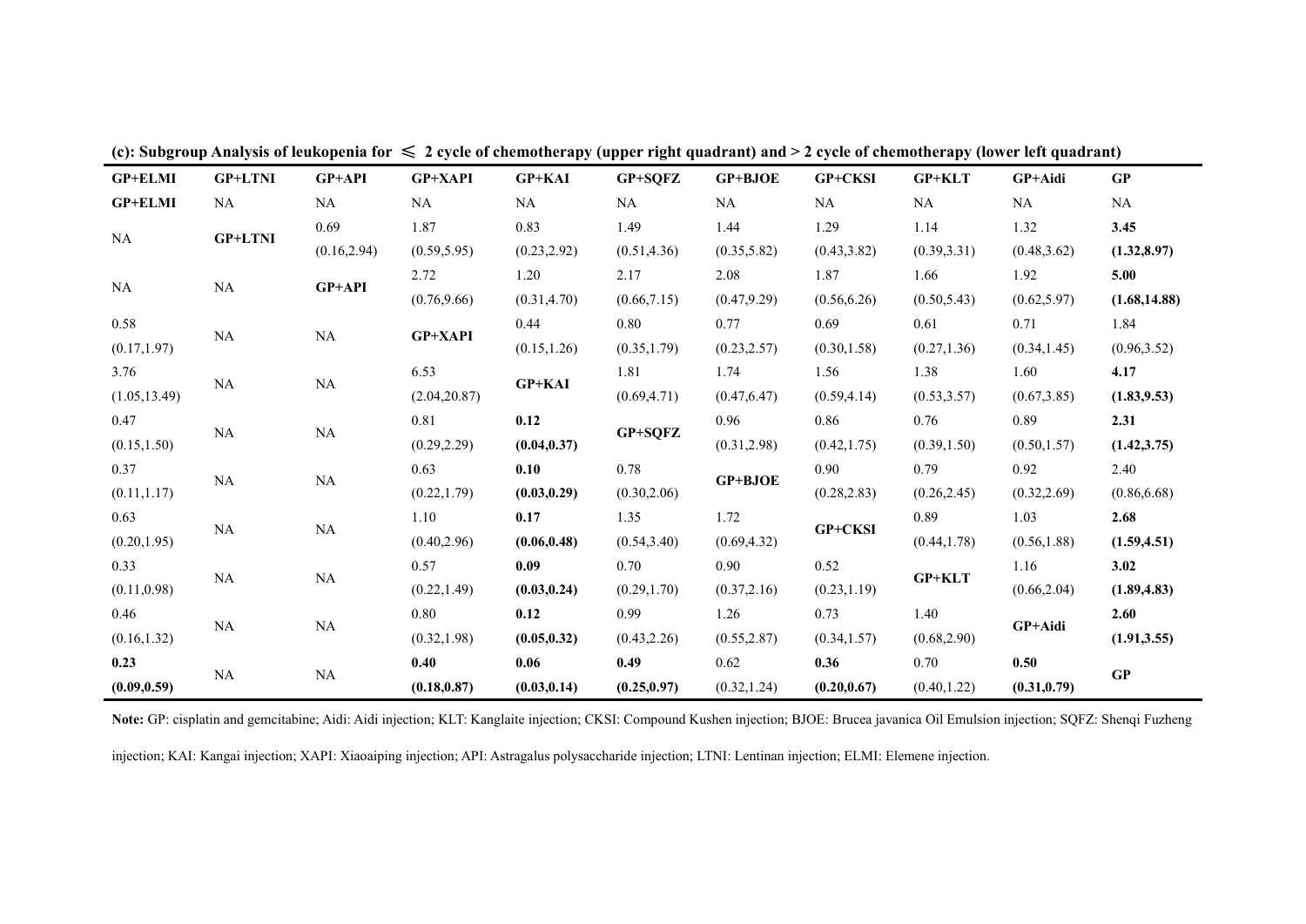| <b>GP+ELMI</b> | <b>GP+LTNI</b> | GP+API       | <b>GP+XAPI</b> | <b>GP+KAI</b> | GP+SQFZ      | <b>GP+BJOE</b> | GP+CKSI        | <b>GP+KLT</b>                | GP+Aidi      | GP            |
|----------------|----------------|--------------|----------------|---------------|--------------|----------------|----------------|------------------------------|--------------|---------------|
| <b>GP+ELMI</b> | NA             | NA           | NA             | NA            | NA           | NA             | NA             | NA                           | NA           | NA            |
| NA             |                | 0.69         | 1.87           | 0.83          | 1.49         | 1.44           | 1.29           | 1.14                         | 1.32         | 3.45          |
|                | <b>GP+LTNI</b> | (0.16, 2.94) | (0.59, 5.95)   | (0.23, 2.92)  | (0.51, 4.36) | (0.35, 5.82)   | (0.43, 3.82)   | (0.39, 3.31)                 | (0.48, 3.62) | (1.32, 8.97)  |
|                | NA             | GP+API       | 2.72           | 1.20          | 2.17         | 2.08           | 1.87           | 1.66                         | 1.92         | 5.00          |
| NA             |                |              | (0.76, 9.66)   | (0.31, 4.70)  | (0.66, 7.15) | (0.47, 9.29)   | (0.56, 6.26)   | (0.50, 5.43)                 | (0.62, 5.97) | (1.68, 14.88) |
| 0.58           |                |              |                | 0.44          | 0.80         | 0.77           | 0.69           | 0.61                         | 0.71         | 1.84          |
| (0.17, 1.97)   | NA             | NA           | <b>GP+XAPI</b> | (0.15, 1.26)  | (0.35, 1.79) | (0.23, 2.57)   | (0.30, 1.58)   | (0.27, 1.36)                 | (0.34, 1.45) | (0.96, 3.52)  |
| 3.76           | NA             | NA           | 6.53           |               | 1.81         | 1.74           | 1.56           | 1.38                         | 1.60         | 4.17          |
| (1.05, 13.49)  |                |              | (2.04, 20.87)  | <b>GP+KAI</b> | (0.69, 4.71) | (0.47, 6.47)   | (0.59, 4.14)   | (0.53, 3.57)                 | (0.67, 3.85) | (1.83, 9.53)  |
| 0.47           | NA             | NA           | 0.81           | 0.12          |              | 0.96           | 0.86           | 0.76                         | 0.89         | 2.31          |
| (0.15, 1.50)   |                |              | (0.29, 2.29)   | (0.04, 0.37)  | GP+SQFZ      | (0.31, 2.98)   | (0.42, 1.75)   | (0.39, 1.50)                 | (0.50, 1.57) | (1.42, 3.75)  |
| 0.37           |                | NA           | 0.63           | 0.10          | 0.78         | <b>GP+BJOE</b> | 0.90           | 0.79                         | 0.92         | 2.40          |
| (0.11, 1.17)   | <b>NA</b>      |              | (0.22, 1.79)   | (0.03, 0.29)  | (0.30, 2.06) |                | (0.28, 2.83)   | (0.26, 2.45)                 | (0.32, 2.69) | (0.86, 6.68)  |
| 0.63           |                | NA           | 1.10           | 0.17          | 1.35         | 1.72           | <b>GP+CKSI</b> | 0.89                         | 1.03         | 2.68          |
| (0.20, 1.95)   | NA             |              | (0.40, 2.96)   | (0.06, 0.48)  | (0.54, 3.40) | (0.69, 4.32)   |                | (0.44, 1.78)                 | (0.56, 1.88) | (1.59, 4.51)  |
| 0.33           |                |              | 0.57           | 0.09          | 0.70         | 0.90           | 0.52           | 1.16                         |              | 3.02          |
| (0.11, 0.98)   | NA             | NA           | (0.22, 1.49)   | (0.03, 0.24)  | (0.29, 1.70) | (0.37, 2.16)   | (0.23, 1.19)   | <b>GP+KLT</b>                | (0.66, 2.04) | (1.89, 4.83)  |
| 0.46           |                |              | 0.80           | 0.12          | 0.99         | 1.26           | 0.73           | 1.40                         |              | 2.60          |
| (0.16, 1.32)   | NA             | NA           | (0.32, 1.98)   | (0.05, 0.32)  | (0.43, 2.26) | (0.55, 2.87)   | (0.34, 1.57)   | (0.68, 2.90)                 | GP+Aidi      | (1.91, 3.55)  |
| 0.23           |                |              | 0.40           | 0.06          | 0.49         | 0.62           | 0.36           | 0.70                         | 0.50         |               |
| (0.09, 0.59)   | NA             | NA           | (0.18, 0.87)   | (0.03, 0.14)  | (0.25, 0.97) | (0.32, 1.24)   | (0.20, 0.67)   | (0.31, 0.79)<br>(0.40, 1.22) | GP           |               |

(c): Subgroup Analysis of leukopenia for  $\leq 2$  cycle of chemotherapy (upper right quadrant) and > 2 cycle of chemotherapy (lower left quadrant)

**Note:** GP: cisplatin and gemcitabine; Aidi: Aidi injection; KLT: Kanglaite injection; CKSI: Compound Kushen injection; BJOE: Brucea javanica Oil Emulsion injection; SQFZ: Shenqi Fuzheng

injection; KAI: Kangai injection; XAPI: Xiaoaiping injection; API: Astragalus polysaccharide injection; LTNI: Lentinan injection; ELMI: Elemene injection.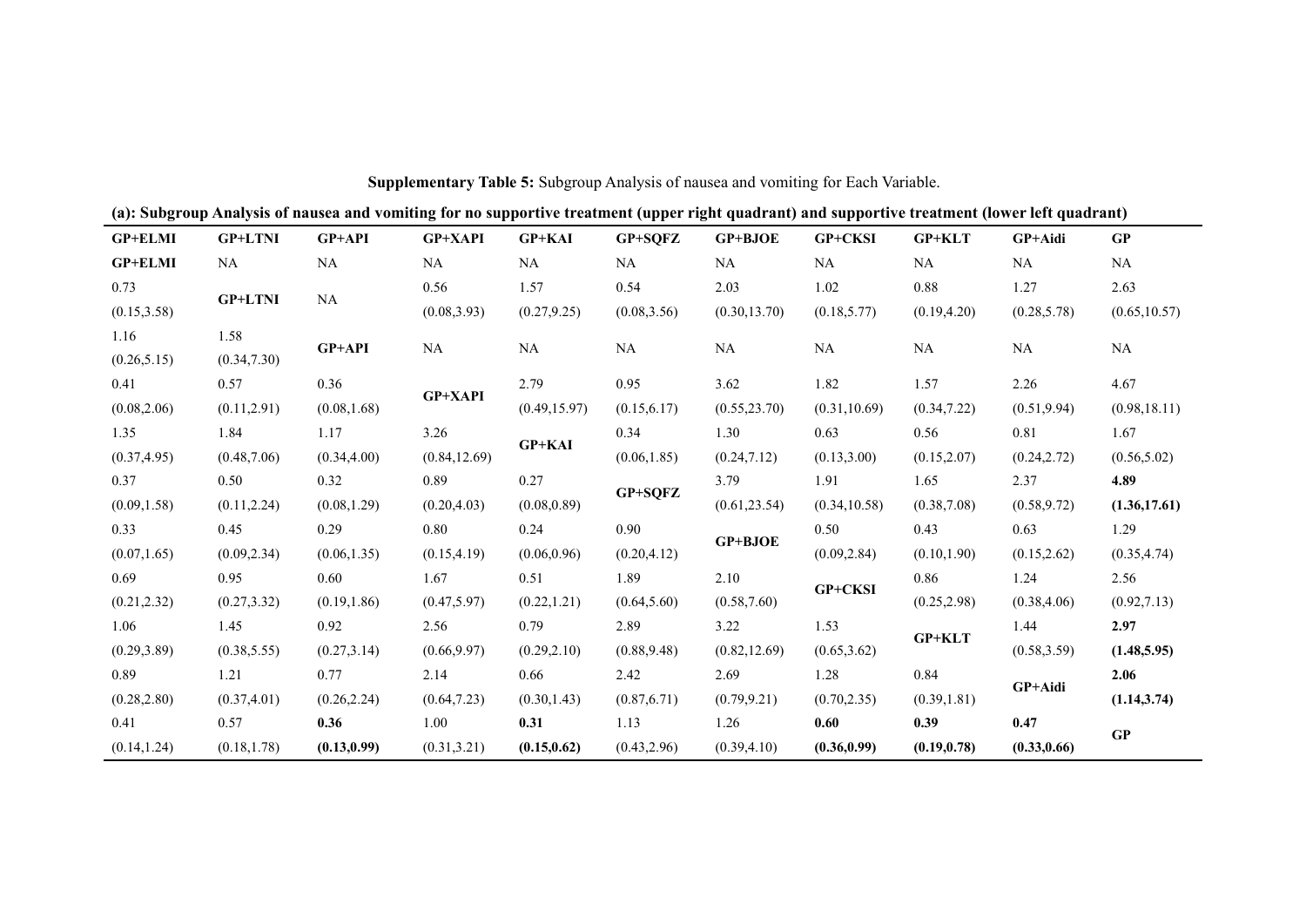|                | (a): Subgroup Analysis of nausea and vomiting for no supportive treatment (upper right quadrant) and supportive treatment (lower left quadrant) |              |                |               |              |                |               |               |              |               |
|----------------|-------------------------------------------------------------------------------------------------------------------------------------------------|--------------|----------------|---------------|--------------|----------------|---------------|---------------|--------------|---------------|
| <b>GP+ELMI</b> | <b>GP+LTNI</b>                                                                                                                                  | GP+API       | <b>GP+XAPI</b> | <b>GP+KAI</b> | GP+SQFZ      | <b>GP+BJOE</b> | GP+CKSI       | $GP+KLT$      | GP+Aidi      | GP            |
| <b>GP+ELMI</b> | NA                                                                                                                                              | <b>NA</b>    | NA             | NA            | NA           | <b>NA</b>      | <b>NA</b>     | NA            | NA           | <b>NA</b>     |
| 0.73           |                                                                                                                                                 |              | 0.56           | 1.57          | 0.54         | 2.03           | 1.02          | 0.88          | 1.27         | 2.63          |
| (0.15, 3.58)   | <b>GP+LTNI</b>                                                                                                                                  | NA           | (0.08, 3.93)   | (0.27, 9.25)  | (0.08, 3.56) | (0.30, 13.70)  | (0.18, 5.77)  | (0.19, 4.20)  | (0.28, 5.78) | (0.65, 10.57) |
| 1.16           | 1.58                                                                                                                                            | GP+API       | NA             | NA            | NA           | NA             | <b>NA</b>     | <b>NA</b>     | <b>NA</b>    | <b>NA</b>     |
| (0.26, 5.15)   | (0.34, 7.30)                                                                                                                                    |              |                |               |              |                |               |               |              |               |
| 0.41           | 0.57                                                                                                                                            | 0.36         | <b>GP+XAPI</b> | 2.79          | 0.95         | 3.62           | 1.82          | 1.57          | 2.26         | 4.67          |
| (0.08, 2.06)   | (0.11, 2.91)                                                                                                                                    | (0.08, 1.68) |                | (0.49, 15.97) | (0.15, 6.17) | (0.55, 23.70)  | (0.31, 10.69) | (0.34, 7.22)  | (0.51, 9.94) | (0.98, 18.11) |
| 1.35           | 1.84                                                                                                                                            | 1.17         | 3.26           |               | 0.34         | 1.30           | 0.63          | 0.56          | 0.81         | 1.67          |
| (0.37, 4.95)   | (0.48, 7.06)                                                                                                                                    | (0.34, 4.00) | (0.84, 12.69)  | <b>GP+KAI</b> | (0.06, 1.85) | (0.24, 7.12)   | (0.13, 3.00)  | (0.15, 2.07)  | (0.24, 2.72) | (0.56, 5.02)  |
| 0.37           | 0.50                                                                                                                                            | 0.32         | 0.89           | 0.27          |              | 3.79           | 1.91          | 1.65          | 2.37         | 4.89          |
| (0.09, 1.58)   | (0.11, 2.24)                                                                                                                                    | (0.08, 1.29) | (0.20, 4.03)   | (0.08, 0.89)  | GP+SQFZ      | (0.61, 23.54)  | (0.34, 10.58) | (0.38, 7.08)  | (0.58, 9.72) | (1.36, 17.61) |
| 0.33           | 0.45                                                                                                                                            | 0.29         | 0.80           | 0.24          | 0.90         |                | 0.50          | 0.43          | 0.63         | 1.29          |
| (0.07, 1.65)   | (0.09, 2.34)                                                                                                                                    | (0.06, 1.35) | (0.15, 4.19)   | (0.06, 0.96)  | (0.20, 4.12) | GP+BJOE        | (0.09, 2.84)  | (0.10, 1.90)  | (0.15, 2.62) | (0.35, 4.74)  |
| 0.69           | 0.95                                                                                                                                            | 0.60         | 1.67           | 0.51          | 1.89         | 2.10           |               | 0.86          | 1.24         | 2.56          |
| (0.21, 2.32)   | (0.27, 3.32)                                                                                                                                    | (0.19, 1.86) | (0.47, 5.97)   | (0.22, 1.21)  | (0.64, 5.60) | (0.58, 7.60)   | GP+CKSI       | (0.25, 2.98)  | (0.38, 4.06) | (0.92, 7.13)  |
| 1.06           | 1.45                                                                                                                                            | 0.92         | 2.56           | 0.79          | 2.89         | 3.22           | 1.53          |               | 1.44         | 2.97          |
| (0.29, 3.89)   | (0.38, 5.55)                                                                                                                                    | (0.27, 3.14) | (0.66, 9.97)   | (0.29, 2.10)  | (0.88, 9.48) | (0.82, 12.69)  | (0.65, 3.62)  | <b>GP+KLT</b> | (0.58, 3.59) | (1.48, 5.95)  |
| 0.89           | 1.21                                                                                                                                            | 0.77         | 2.14           | 0.66          | 2.42         | 2.69           | 1.28          | 0.84          |              | 2.06          |
| (0.28, 2.80)   | (0.37, 4.01)                                                                                                                                    | (0.26, 2.24) | (0.64, 7.23)   | (0.30, 1.43)  | (0.87, 6.71) | (0.79, 9.21)   | (0.70, 2.35)  | (0.39, 1.81)  | GP+Aidi      | (1.14, 3.74)  |
| 0.41           | 0.57                                                                                                                                            | 0.36         | 1.00           | 0.31          | 1.13         | 1.26           | 0.60          | 0.39          | 0.47         |               |
| (0.14, 1.24)   | (0.18, 1.78)                                                                                                                                    | (0.13, 0.99) | (0.31, 3.21)   | (0.15, 0.62)  | (0.43, 2.96) | (0.39, 4.10)   | (0.36, 0.99)  | (0.19, 0.78)  | (0.33, 0.66) | GP            |

## **Supplementary Table 5:** Subgroup Analysis of nausea and vomiting for Each Variable.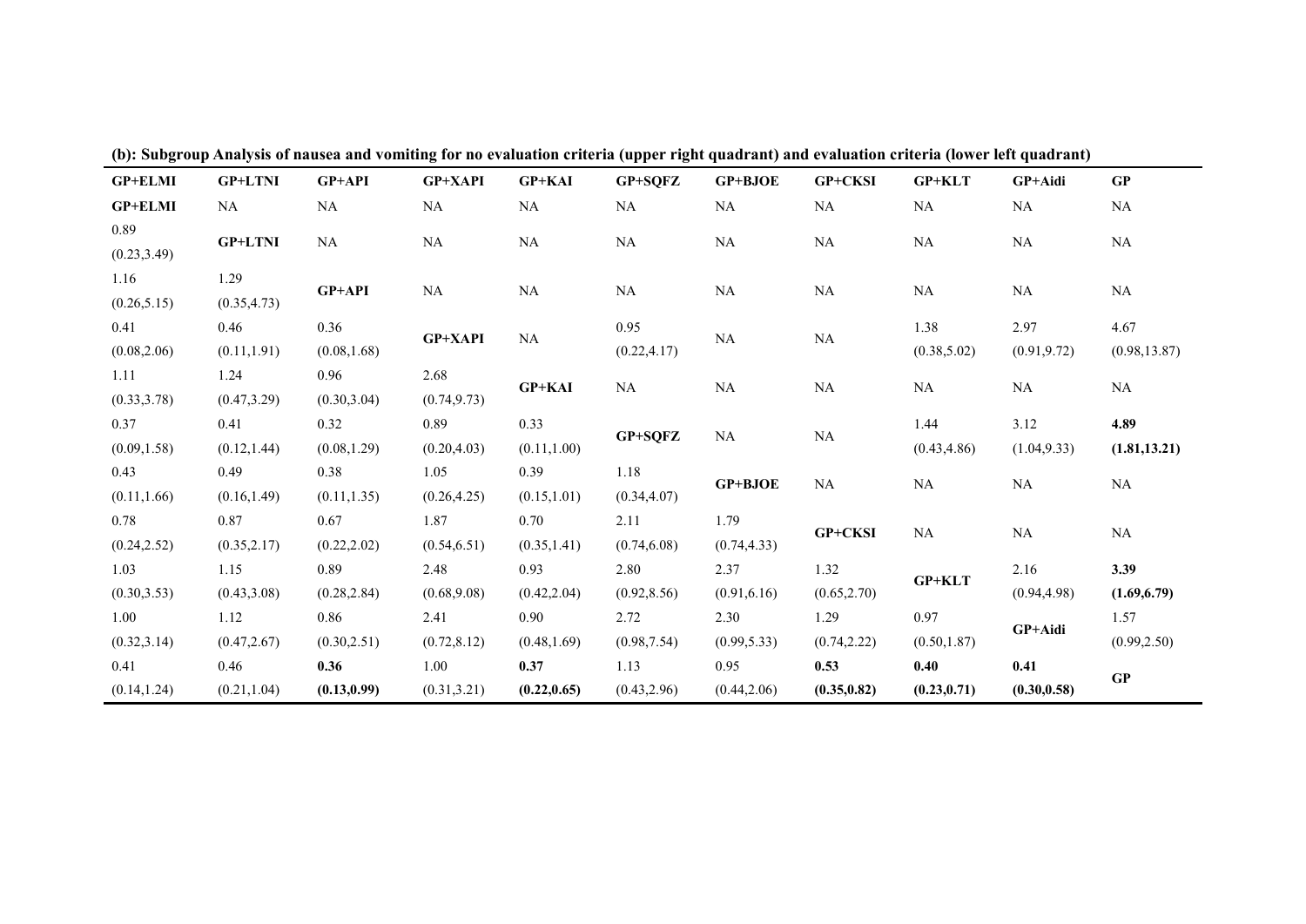| $\bullet$      |                |              | o              |               | $\sqrt{1}$   |              |                              |              |              |               |
|----------------|----------------|--------------|----------------|---------------|--------------|--------------|------------------------------|--------------|--------------|---------------|
| <b>GP+ELMI</b> | <b>GP+LTNI</b> | $GP+API$     | <b>GP+XAPI</b> | <b>GP+KAI</b> | GP+SQFZ      | GP+BJOE      | GP+CKSI                      | $GP+KLT$     | GP+Aidi      | GP            |
| <b>GP+ELMI</b> | NA             | NA           | NA             | NA            | NA           | NA           | NA                           | NA           | NA           | <b>NA</b>     |
| 0.89           | <b>GP+LTNI</b> | NA           | NA             | NA            | NA           | NA           | <b>NA</b>                    | NA           | NA           | <b>NA</b>     |
| (0.23, 3.49)   |                |              |                |               |              |              |                              |              |              |               |
| 1.16           | 1.29           | GP+API       | NA             | NA            | NA           | NA           | NA                           | NA           | NA           | <b>NA</b>     |
| (0.26, 5.15)   | (0.35, 4.73)   |              |                |               |              |              |                              |              |              |               |
| 0.41           | 0.46           | 0.36         | GP+XAPI        | NA            | 0.95         | NA           | $\rm NA$                     | 1.38         | 2.97         | 4.67          |
| (0.08, 2.06)   | (0.11, 1.91)   | (0.08, 1.68) |                |               | (0.22, 4.17) |              |                              | (0.38, 5.02) | (0.91, 9.72) | (0.98, 13.87) |
| 1.11           | 1.24           | 0.96         | 2.68           | <b>GP+KAI</b> | NA           | NA           | NA                           | NA           | NA           | NA            |
| (0.33, 3.78)   | (0.47, 3.29)   | (0.30, 3.04) | (0.74, 9.73)   |               |              |              |                              |              |              |               |
| 0.37           | 0.41           | 0.32         | 0.89           | 0.33          | GP+SQFZ      | NA           | NA                           | 1.44         | 3.12         | 4.89          |
| (0.09, 1.58)   | (0.12, 1.44)   | (0.08, 1.29) | (0.20, 4.03)   | (0.11, 1.00)  |              |              |                              | (0.43, 4.86) | (1.04, 9.33) | (1.81, 13.21) |
| 0.43           | 0.49           | 0.38         | 1.05           | 0.39          | 1.18         | GP+BJOE      | NA                           | NA           | NA           | NA            |
| (0.11, 1.66)   | (0.16, 1.49)   | (0.11, 1.35) | (0.26, 4.25)   | (0.15, 1.01)  | (0.34, 4.07) |              |                              |              |              |               |
| 0.78           | 0.87           | 0.67         | 1.87           | 0.70          | 2.11         | 1.79         | GP+CKSI                      |              | NA           | NA            |
| (0.24, 2.52)   | (0.35, 2.17)   | (0.22, 2.02) | (0.54, 6.51)   | (0.35, 1.41)  | (0.74, 6.08) | (0.74, 4.33) |                              | NA           |              |               |
| 1.03           | 1.15           | 0.89         | 2.48           | 0.93          | 2.80         | 2.37         | 1.32                         |              | 2.16         | 3.39          |
| (0.30, 3.53)   | (0.43, 3.08)   | (0.28, 2.84) | (0.68, 9.08)   | (0.42, 2.04)  | (0.92, 8.56) | (0.91, 6.16) | (0.65, 2.70)                 | $GP+KLT$     | (0.94, 4.98) | (1.69, 6.79)  |
| 1.00           | 1.12           | 0.86         | 2.41           | 0.90          | 2.72         | 2.30         | 1.29                         | 0.97         |              | 1.57          |
| (0.32, 3.14)   | (0.47, 2.67)   | (0.30, 2.51) | (0.72, 8.12)   | (0.48, 1.69)  | (0.98, 7.54) | (0.99, 5.33) | (0.74, 2.22)                 | (0.50, 1.87) | GP+Aidi      | (0.99, 2.50)  |
| 0.41           | 0.46           | 0.36         | 1.00           | 0.37          | 1.13         | 0.95         | 0.53                         | 0.40         | 0.41         | GP            |
| (0.14, 1.24)   | (0.21, 1.04)   | (0.13, 0.99) | (0.31, 3.21)   | (0.22, 0.65)  | (0.43, 2.96) | (0.44, 2.06) | (0.35, 0.82)<br>(0.23, 0.71) |              | (0.30, 0.58) |               |

(b): Subgroup Analysis of nausea and vomiting for no evaluation criteria (upper right quadrant) and evaluation criteria (lower left quadrant)